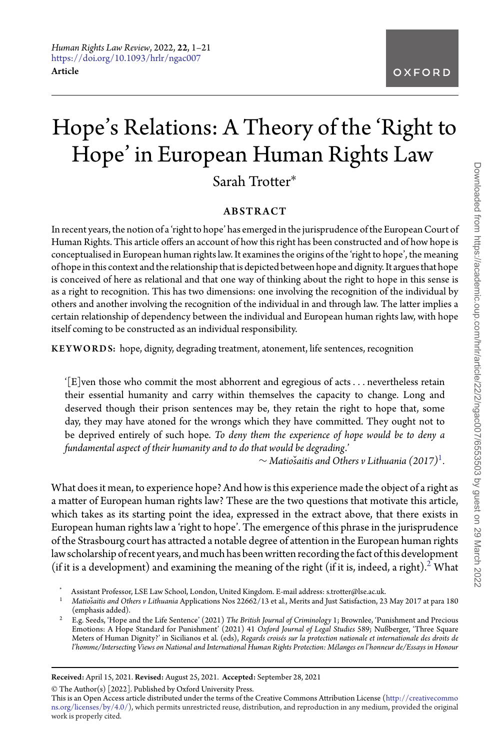# Hope's Relations: A Theory of the 'Right to Hope' in European Human Rights Law

Sarah Trotter∗

## ABSTRACT

In recent years, the notion of a 'right to hope' has emerged in the jurisprudence of the European Court of Human Rights. This article offers an account of how this right has been constructed and of how hope is conceptualised in European human rights law. It examines the origins of the 'right to hope', the meaning of hope in this context and the relationship that is depicted between hope and dignity. It argues that hope is conceived of here as relational and that one way of thinking about the right to hope in this sense is as a right to recognition. This has two dimensions: one involving the recognition of the individual by others and another involving the recognition of the individual in and through law. The latter implies a certain relationship of dependency between the individual and European human rights law, with hope itself coming to be constructed as an individual responsibility.

KEYWORDS: hope, dignity, degrading treatment, atonement, life sentences, recognition

'[E]ven those who commit the most abhorrent and egregious of acts*...* nevertheless retain their essential humanity and carry within themselves the capacity to change. Long and deserved though their prison sentences may be, they retain the right to hope that, some day, they may have atoned for the wrongs which they have committed. They ought not to be deprived entirely of such hope. *To deny them the experience of hope would be to deny a fundamental aspect of their humanity and to do that would be degrading*.'

∼ *Matio*ˇ*saitis and Others v Lithuania (2017)*[1](#page-0-0)*.*

What does it mean, to experience hope? And how is this experience made the object of a right as a matter of European human rights law? These are the two questions that motivate this article, which takes as its starting point the idea, expressed in the extract above, that there exists in European human rights law a 'right to hope'. The emergence of this phrase in the jurisprudence of the Strasbourg court has attracted a notable degree of attention in the European human rights law scholarship of recent years, and much has been written recording the fact of this development (if it is a development) and examining the meaning of the right (if it is, indeed, a right).<sup>2</sup> What

- \* Assistant Professor, LSE Law School, London, United Kingdom. E-mail address: s.trotter@lse.ac.uk.
- <span id="page-0-0"></span><sup>1</sup> *Matio*ˇ*saitis and Others v Lithuania* Applications Nos 22662/13 et al., Merits and Just Satisfaction, 23 May 2017 at para 180 (emphasis added).
- <span id="page-0-1"></span><sup>2</sup> E.g. Seeds, 'Hope and the Life Sentence' (2021) *The British Journal of Criminology* 1; Brownlee, 'Punishment and Precious<br>Emotions: A Hope Standard for Punishment' (2021) 41 *Oxford Journal of Legal Studies 589*; Nußb Meters of Human Dignity?' in Sicilianos et al. (eds), *Regards croisés sur la protection nationale et internationale des droits de l'homme/Intersecting Views on National and International Human Rights Protection: Mélanges en l'honneur de/Essays in Honour*

Received: April 15, 2021. Revised: August 25, 2021. Accepted: September 28, 2021

© The Author(s) [2022]. Published by Oxford University Press.

This is an Open Access article distributed under the terms of the Creative Commons Attribution License [\(http://creativecommo](http://creativecommons.org/licenses/by/4.0/) [ns.org/licenses/by/4.0/\)](http://creativecommons.org/licenses/by/4.0/), which permits unrestricted reuse, distribution, and reproduction in any medium, provided the original work is properly cited.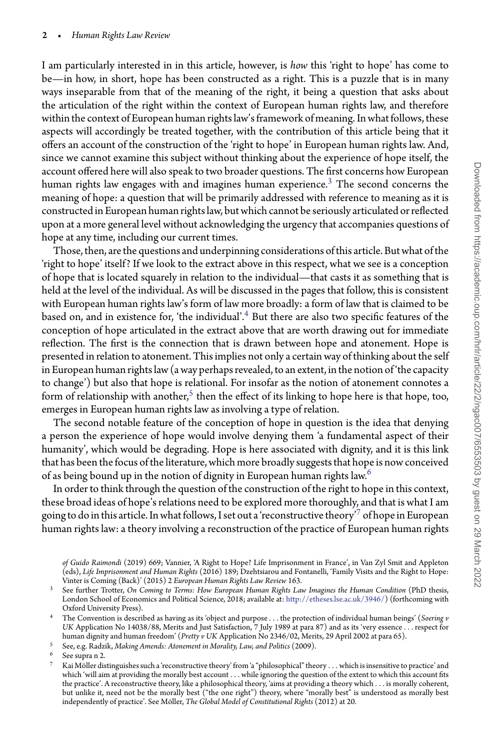I am particularly interested in in this article, however, is *how* this 'right to hope' has come to be—in how, in short, hope has been constructed as a right. This is a puzzle that is in many ways inseparable from that of the meaning of the right, it being a question that asks about the articulation of the right within the context of European human rights law, and therefore within the context of European human rights law's framework of meaning. In what follows, these aspects will accordingly be treated together, with the contribution of this article being that it offers an account of the construction of the 'right to hope' in European human rights law. And, since we cannot examine this subject without thinking about the experience of hope itself, the account offered here will also speak to two broader questions. The first concerns how European human rights law engages with and imagines human experience.<sup>[3](#page-1-0)</sup> The second concerns the meaning of hope: a question that will be primarily addressed with reference to meaning as it is constructed in European human rights law, but which cannot be seriously articulated or reflected upon at a more general level without acknowledging the urgency that accompanies questions of hope at any time, including our current times.

Those, then, are the questions and underpinning considerations of this article. But what of the 'right to hope' itself? If we look to the extract above in this respect, what we see is a conception of hope that is located squarely in relation to the individual—that casts it as something that is held at the level of the individual. As will be discussed in the pages that follow, this is consistent with European human rights law's form of law more broadly: a form of law that is claimed to be based on, and in existence for, 'the individual'.[4](#page-1-1) But there are also two specific features of the conception of hope articulated in the extract above that are worth drawing out for immediate reflection. The first is the connection that is drawn between hope and atonement. Hope is presented in relation to atonement. This implies not only a certain way of thinking about the self in European human rights law (a way perhaps revealed, to an extent, in the notion of 'the capacity to change') but also that hope is relational. For insofar as the notion of atonement connotes a form of relationship with another,<sup>5</sup> then the effect of its linking to hope here is that hope, too, emerges in European human rights law as involving a type of relation.

The second notable feature of the conception of hope in question is the idea that denying a person the experience of hope would involve denying them 'a fundamental aspect of their humanity', which would be degrading. Hope is here associated with dignity, and it is this link that has been the focus of the literature, which more broadly suggests that hope is now conceived of as being bound up in the notion of dignity in European human rights law.<sup>[6](#page-1-3)</sup>

In order to think through the question of the construction of the right to hope in this context, these broad ideas of hope's relations need to be explored more thoroughly, and that is what I am going to do in this article. In what follows, I set out a 'reconstructive theory'<sup>[7](#page-1-4)</sup> of hope in European human rights law: a theory involving a reconstruction of the practice of European human rights

- <span id="page-1-0"></span><sup>3</sup> See further Trotter, *On Coming to Terms: How European Human Rights Law Imagines the Human Condition* (PhD thesis, London School of Economics and Political Science, 2018; available at: [http://etheses.lse.ac.uk/3946/\)](http://etheses.lse.ac.uk/3946/) (forthcoming with Oxford University Press).
- <span id="page-1-1"></span><sup>4</sup> The Convention is described as having as its 'object and purpose *...* the protection of individual human beings' (*Soering v UK* Application No 14038/88, Merits and Just Satisfaction, 7 July 1989 at para 87) and as its 'very essence *...* respect for human dignity and human freedom' (*Pretty v UK* Application No 2346/02, Merits, 29 April 2002 at para 65).
- <sup>5</sup> See, e.g. Radzik, *Making Amends: Atonement in Morality, Law, and Politics* (2009).
- <span id="page-1-2"></span>See supra n 2.
- <span id="page-1-4"></span><span id="page-1-3"></span><sup>7</sup> Kai Möller distinguishes such a 'reconstructivetheory' from 'a "philosophical"theory *...* which is insensitiveto practice' and which 'will aim at providing the morally best account *...* while ignoring the question of the extent to which this account fits the practice'. A reconstructive theory, like a philosophical theory, 'aims at providing a theory which . . . is morally coherent,<br>but unlike it, need not be the morally best ("the one right") theory, where "morally best" i independently of practice'. See Möller, *The Global Model of Constitutional Rights* (2012) at 20.

*of Guido Raimondi* (2019) 669; Vannier, 'A Right to Hope? Life Imprisonment in France', in Van Zyl Smit and Appleton (eds), *Life Imprisonment and Human Rights* (2016) 189; Dzehtsiarou and Fontanelli, 'Family Visits and the Right to Hope: Vinter is Coming (Back)' (2015) 2 *European Human Rights Law Review* 163.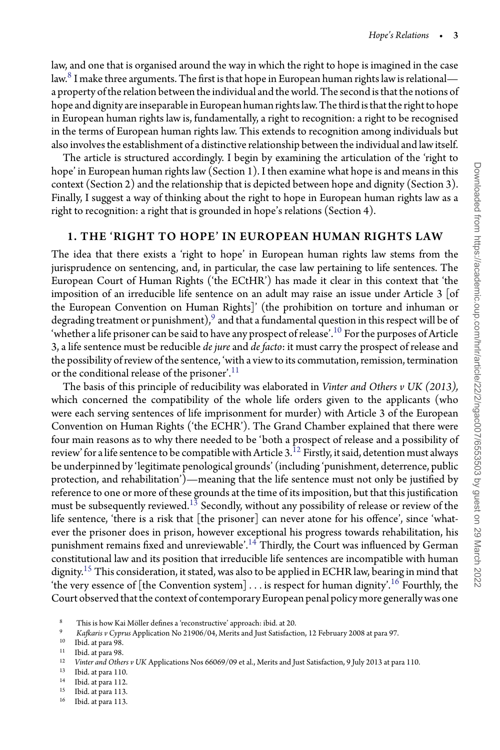law, and one that is organised around the way in which the right to hope is imagined in the case law. $8$  I make three arguments. The first is that hope in European human rights law is relational a property of the relation between the individual and the world. The second is that the notions of hope and dignity are inseparable in European human rights law. The third is that the right to hope in European human rights law is, fundamentally, a right to recognition: a right to be recognised in the terms of European human rights law. This extends to recognition among individuals but also involves the establishment of a distinctive relationship between the individual and law itself.

The article is structured accordingly. I begin by examining the articulation of the 'right to hope' in European human rights law (Section 1). I then examine what hope is and means in this context (Section 2) and the relationship that is depicted between hope and dignity (Section 3). Finally, I suggest a way of thinking about the right to hope in European human rights law as a right to recognition: a right that is grounded in hope's relations (Section 4).

## 1. THE 'RIGHT TO HOPE' IN EUROPEAN HUMAN RIGHTS LAW

The idea that there exists a 'right to hope' in European human rights law stems from the jurisprudence on sentencing, and, in particular, the case law pertaining to life sentences. The European Court of Human Rights ('the ECtHR') has made it clear in this context that 'the imposition of an irreducible life sentence on an adult may raise an issue under Article  $3$  [of the European Convention on Human Rights]' (the prohibition on torture and inhuman or degrading treatment or punishment), $9$  and that a fundamental question in this respect will be of 'whether a life prisoner can be said to have any prospect of release'.<sup>[10](#page-2-2)</sup> For the purposes of Article 3, a life sentence must be reducible *de jure* and *de facto*: it must carry the prospect of release and the possibility of review of the sentence, 'with a view to its commutation, remission, termination or the conditional release of the prisoner'.<sup>[11](#page-2-3)</sup>

The basis of this principle of reducibility was elaborated in *Vinter and Others v UK (2013),* which concerned the compatibility of the whole life orders given to the applicants (who were each serving sentences of life imprisonment for murder) with Article 3 of the European Convention on Human Rights ('the ECHR'). The Grand Chamber explained that there were four main reasons as to why there needed to be 'both a prospect of release and a possibility of review' for a life sentence to be compatible with Article 3.<sup>[12](#page-2-4)</sup> Firstly, it said, detention must always be underpinned by 'legitimate penological grounds' (including 'punishment, deterrence, public protection, and rehabilitation')—meaning that the life sentence must not only be justified by reference to one or more of these grounds at the time of its imposition, but that this justification must be subsequently reviewed.<sup>13</sup> Secondly, without any possibility of release or review of the life sentence, 'there is a risk that [the prisoner] can never atone for his offence', since 'whatever the prisoner does in prison, however exceptional his progress towards rehabilitation, his punishment remains fixed and unreviewable'.<sup>14</sup> Thirdly, the Court was influenced by German constitutional law and its position that irreducible life sentences are incompatible with human dignity.<sup>[15](#page-2-7)</sup> This consideration, it stated, was also to be applied in ECHR law, bearing in mind that 'the very essence of [the Convention system] . . . is respect for human dignity'.<sup>[16](#page-2-8)</sup> Fourthly, the Court observed that the context of contemporary European penal policy more generally was one

<span id="page-2-4"></span> $13$  Ibid. at para 110.

<span id="page-2-6"></span> $15$  Ibid. at para 113.

<sup>8</sup> This is how Kai Möller defines a 'reconstructive' approach: ibid. at 20.

<span id="page-2-0"></span><sup>9</sup> *Kafkaris v Cyprus* Application No 21906/04, Merits and Just Satisfaction, 12 February 2008 at para 97.

<span id="page-2-1"></span> $10$  Ibid. at para 98.

<span id="page-2-2"></span> $11$  Ibid. at para 98.<br> $12$  *Unter and Othe* 

<span id="page-2-3"></span><sup>12</sup> *Vinter and Others v UK* Applications Nos 66069/09 et al., Merits and Just Satisfaction, 9 July 2013 at para 110.

<span id="page-2-5"></span> $14$  Ibid. at para 112.

<span id="page-2-8"></span><span id="page-2-7"></span><sup>16</sup> Ibid. at para 113.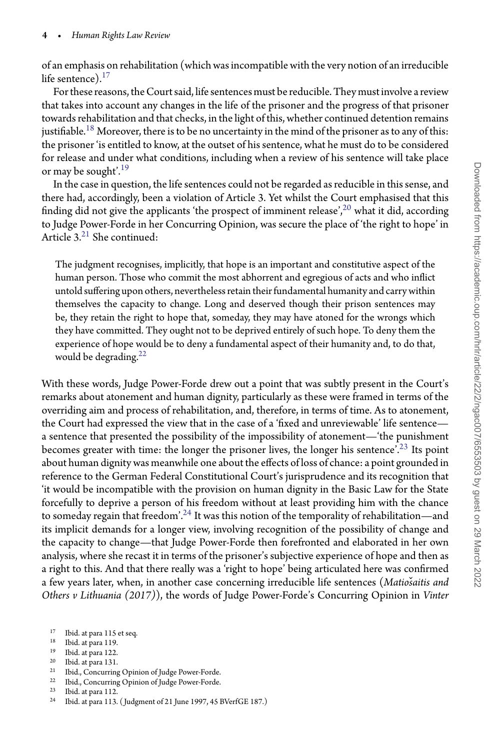of an emphasis on rehabilitation (which was incompatible with the very notion of an irreducible life sentence). $17$ 

For these reasons, the Court said, life sentences must be reducible. They must involve a review that takes into account any changes in the life of the prisoner and the progress of that prisoner towards rehabilitation and that checks, in the light of this, whether continued detention remains justifiable.<sup>[18](#page-3-1)</sup> Moreover, there is to be no uncertainty in the mind of the prisoner as to any of this: the prisoner 'is entitled to know, at the outset of his sentence, what he must do to be considered for release and under what conditions, including when a review of his sentence will take place or may be sought'.<sup>[19](#page-3-2)</sup>

In the case in question, the life sentences could not be regarded as reducible in this sense, and there had, accordingly, been a violation of Article 3. Yet whilst the Court emphasised that this finding did not give the applicants 'the prospect of imminent release',<sup>[20](#page-3-3)</sup> what it did, according to Judge Power-Forde in her Concurring Opinion, was secure the place of 'the right to hope' in Article  $3<sup>21</sup>$  $3<sup>21</sup>$  $3<sup>21</sup>$  She continued:

The judgment recognises, implicitly, that hope is an important and constitutive aspect of the human person. Those who commit the most abhorrent and egregious of acts and who inflict untold suffering upon others, nevertheless retain their fundamental humanity and carry within themselves the capacity to change. Long and deserved though their prison sentences may be, they retain the right to hope that, someday, they may have atoned for the wrongs which they have committed. They ought not to be deprived entirely of such hope. To deny them the experience of hope would be to deny a fundamental aspect of their humanity and, to do that, would be degrading.<sup>[22](#page-3-5)</sup>

With these words, Judge Power-Forde drew out a point that was subtly present in the Court's remarks about atonement and human dignity, particularly as these were framed in terms of the overriding aim and process of rehabilitation, and, therefore, in terms of time. As to atonement, the Court had expressed the view that in the case of a 'fixed and unreviewable' life sentence a sentence that presented the possibility of the impossibility of atonement—'the punishment becomes greater with time: the longer the prisoner lives, the longer his sentence'.<sup>[23](#page-3-6)</sup> Its point about human dignity was meanwhile one about the effects of loss of chance: a point grounded in reference to the German Federal Constitutional Court's jurisprudence and its recognition that 'it would be incompatible with the provision on human dignity in the Basic Law for the State forcefully to deprive a person of his freedom without at least providing him with the chance to someday regain that freedom'.<sup>[24](#page-3-7)</sup> It was this notion of the temporality of rehabilitation—and its implicit demands for a longer view, involving recognition of the possibility of change and the capacity to change—that Judge Power-Forde then forefronted and elaborated in her own analysis, where she recast it in terms of the prisoner's subjective experience of hope and then as a right to this. And that there really was a 'right to hope' being articulated here was confirmed a few years later, when, in another case concerning irreducible life sentences (*Matio*ˇ*saitis and Others v Lithuania (2017)*), the words of Judge Power-Forde's Concurring Opinion in *Vinter*

- <span id="page-3-1"></span><sup>19</sup> Ibid. at para 122.<br><sup>20</sup> Ibid. at para 131.
- <span id="page-3-2"></span> $^{20}$  Ibid. at para 131.
- <span id="page-3-3"></span><sup>21</sup> Ibid., Concurring Opinion of Judge Power-Forde.
- <span id="page-3-4"></span><sup>22</sup> Ibid., Concurring Opinion of Judge Power-Forde.
- <span id="page-3-5"></span> $\frac{23}{24}$  Ibid. at para 112.
- <span id="page-3-7"></span><span id="page-3-6"></span><sup>24</sup> Ibid. at para 113. ( Judgment of 21 June 1997, 45 BVerfGE 187.)

<sup>17</sup> Ibid. at para 115 et seq.

<span id="page-3-0"></span> $18$  Ibid. at para 119.<br> $19$  Ibid. at para 122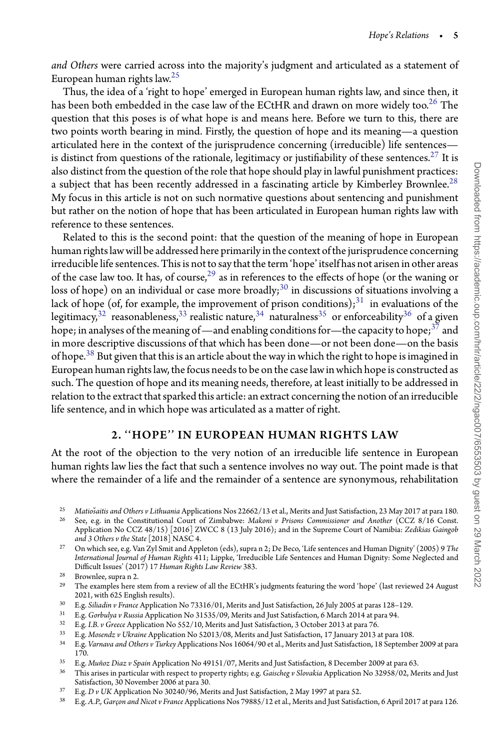*and Others* were carried across into the majority's judgment and articulated as a statement of European human rights law[.25](#page-4-0)

Thus, the idea of a 'right to hope' emerged in European human rights law, and since then, it has been both embedded in the case law of the ECtHR and drawn on more widely too.<sup>[26](#page-4-1)</sup> The question that this poses is of what hope is and means here. Before we turn to this, there are two points worth bearing in mind. Firstly, the question of hope and its meaning—a question articulated here in the context of the jurisprudence concerning (irreducible) life sentences— is distinct from questions of the rationale, legitimacy or justifiability of these sentences.<sup>[27](#page-4-2)</sup> It is also distinct from the question of the role that hope should play in lawful punishment practices: a subject that has been recently addressed in a fascinating article by Kimberley Brownlee.<sup>[28](#page-4-3)</sup> My focus in this article is not on such normative questions about sentencing and punishment but rather on the notion of hope that has been articulated in European human rights law with reference to these sentences.

Related to this is the second point: that the question of the meaning of hope in European human rights law will be addressed here primarily in the context of the jurisprudence concerning irreducible life sentences. This is not to say that the term 'hope' itself has not arisen in other areas of the case law too. It has, of course,<sup>29</sup> as in references to the effects of hope (or the waning or loss of hope) on an individual or case more broadly;<sup>[30](#page-4-5)</sup> in discussions of situations involving a lack of hope (of, for example, the improvement of prison conditions); $31$  in evaluations of the legitimacy,<sup>32</sup> reasonableness,<sup>[33](#page-4-8)</sup> realistic nature,<sup>[34](#page-4-9)</sup> naturalness<sup>[35](#page-4-10)</sup> or enforceability<sup>[36](#page-4-11)</sup> of a given hope; in analyses of the meaning of —and enabling conditions for—the capacity to hope;<sup>37</sup> and in more descriptive discussions of that which has been done—or not been done—on the basis of hope.<sup>[38](#page-4-13)</sup> But given that this is an article about the way in which the right to hope is imagined in European human rights law, the focus needs to be on the case law in which hope is constructed as such. The question of hope and its meaning needs, therefore, at least initially to be addressed in relation to the extract that sparked this article: an extract concerning the notion of an irreducible life sentence, and in which hope was articulated as a matter of right.

## 2. ''HOPE'' IN EUROPEAN HUMAN RIGHTS LAW

At the root of the objection to the very notion of an irreducible life sentence in European human rights law lies the fact that such a sentence involves no way out. The point made is that where the remainder of a life and the remainder of a sentence are synonymous, rehabilitation

- <span id="page-4-4"></span><sup>30</sup> E.g. *Siliadin v France* Application No 73316/01, Merits and Just Satisfaction, 26 July 2005 at paras 128–129.
- <span id="page-4-5"></span><sup>31</sup> E.g. *Gorbulya v Russia* Application No 31535/09, Merits and Just Satisfaction, 6 March 2014 at para 94.
- <span id="page-4-6"></span><sup>32</sup> E.g. *I.B. v Greece* Application No 552/10, Merits and Just Satisfaction, 3 October 2013 at para 76.
- <span id="page-4-7"></span><sup>33</sup> E.g. *Mosendz v Ukraine* Application No 52013/08, Merits and Just Satisfaction, 17 January 2013 at para 108.
- <span id="page-4-9"></span><span id="page-4-8"></span><sup>34</sup> E.g. *Varnava and Others v Turkey* Applications Nos 16064/90 et al., Merits and Just Satisfaction, 18 September 2009 at para 170.
- <sup>35</sup> E.g. *Muñoz Diaz v Spain* Application No 49151/07, Merits and Just Satisfaction, 8 December 2009 at para 63.
- <span id="page-4-10"></span><sup>36</sup> This arises in particular with respect to property rights; e.g. *Gaischeg v Slovakia* Application No 32958/02, Merits and Just Satisfaction, 30 November 2006 at para 30.
- <span id="page-4-11"></span><sup>37</sup> E.g. *D v UK* Application No 30240/96, Merits and Just Satisfaction, 2 May 1997 at para 52.
- <span id="page-4-13"></span><span id="page-4-12"></span><sup>38</sup> E.g. *A.P., Garçon and Nicot v France* Applications Nos 79885/12 et al., Merits and Just Satisfaction, 6 April 2017 at para 126.

<sup>&</sup>lt;sup>25</sup> Matiošaitis and Others v Lithuania Applications Nos 22662/13 et al., Merits and Just Satisfaction, 23 May 2017 at para 180.<br><sup>26</sup> See, e.g. in the Constitutional Court of Zimbabwe: Makoni v Prisons Commissioner and Ano

<span id="page-4-1"></span><span id="page-4-0"></span>Application No CCZ 48/15) [2016] ZWCC 8 (13 July 2016); and in the Supreme Court of Namibia: *Zedikias Gaingob and 3 Others v the State*[2018] NASC 4.

<span id="page-4-2"></span><sup>27</sup> On which see, e.g. Van Zyl Smit and Appleton (eds), supra n 2; De Beco, 'Life sentences and Human Dignity' (2005) 9 *The International Journal of Human Rights* 411; Lippke, 'Irreducible Life Sentences and Human Dignity: Some Neglected and Difficult Issues' (2017) 17 *Human Rights Law Review* 383.

<sup>28</sup> Brownlee, supra n 2.

<span id="page-4-3"></span><sup>&</sup>lt;sup>29</sup> The examples here stem from a review of all the ECtHR's judgments featuring the word 'hope' (last reviewed 24 August 2021, with 625 English results).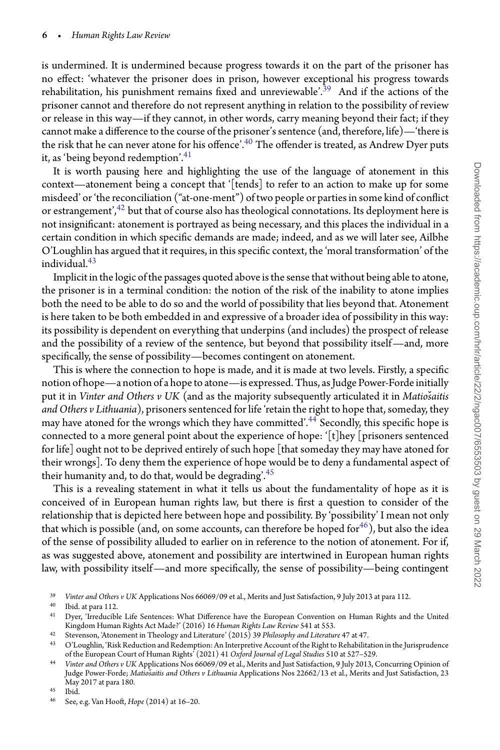is undermined. It is undermined because progress towards it on the part of the prisoner has no effect: 'whatever the prisoner does in prison, however exceptional his progress towards rehabilitation, his punishment remains fixed and unreviewable'.<sup>39</sup> And if the actions of the prisoner cannot and therefore do not represent anything in relation to the possibility of review or release in this way—if they cannot, in other words, carry meaning beyond their fact; if they cannot make a difference to the course of the prisoner's sentence (and, therefore, life)—'there is the risk that he can never atone for his offence'.<sup>[40](#page-5-1)</sup> The offender is treated, as Andrew Dyer puts it, as 'being beyond redemption'.<sup>[41](#page-5-2)</sup>

It is worth pausing here and highlighting the use of the language of atonement in this context—atonement being a concept that '[tends] to refer to an action to make up for some misdeed' or 'the reconciliation ("at-one-ment") of two people or parties in some kind of conflict or estrangement', $42$  but that of course also has theological connotations. Its deployment here is not insignificant: atonement is portrayed as being necessary, and this places the individual in a certain condition in which specific demands are made; indeed, and as we will later see, Ailbhe O'Loughlin has argued that it requires, in this specific context, the 'moral transformation' of the individual $143$  $143$ 

Implicit in the logic of the passages quoted above is the sense that without being able to atone, the prisoner is in a terminal condition: the notion of the risk of the inability to atone implies both the need to be able to do so and the world of possibility that lies beyond that. Atonement is here taken to be both embedded in and expressive of a broader idea of possibility in this way: its possibility is dependent on everything that underpins (and includes) the prospect of release and the possibility of a review of the sentence, but beyond that possibility itself—and, more specifically, the sense of possibility—becomes contingent on atonement.

This is where the connection to hope is made, and it is made at two levels. Firstly, a specific notion of hope—a notion of a hopeto atone—is expressed. Thus, as Judge Power-Forde initially put it in *Vinter and Others v UK* (and as the majority subsequently articulated it in *Matio*šaitis *and Others v Lithuania*), prisoners sentenced for life 'retain the right to hope that, someday, they may have atoned for the wrongs which they have committed'.<sup>[44](#page-5-5)</sup> Secondly, this specific hope is connected to a more general point about the experience of hope: '[t]hey [prisoners sentenced for life] ought not to be deprived entirely of such hope [that someday they may have atoned for their wrongs]. To deny them the experience of hope would be to deny a fundamental aspect of their humanity and, to do that, would be degrading'.<sup>[45](#page-5-6)</sup>

This is a revealing statement in what it tells us about the fundamentality of hope as it is conceived of in European human rights law, but there is first a question to consider of the relationship that is depicted here between hope and possibility. By 'possibility' I mean not only that which is possible (and, on some accounts, can therefore be hoped for  $46$ ), but also the idea of the sense of possibility alluded to earlier on in reference to the notion of atonement. For if, as was suggested above, atonement and possibility are intertwined in European human rights law, with possibility itself—and more specifically, the sense of possibility—being contingent

 $\frac{45}{46}$  Ibid.

<sup>39</sup> *Vinter and Others v UK* Applications Nos 66069/09 et al., Merits and Just Satisfaction, 9 July 2013 at para 112.

<span id="page-5-0"></span> $^{40}$  Ibid. at para 112.<br> $^{41}$  Dyor Treducibl

<span id="page-5-1"></span><sup>41</sup> Dyer, 'Irreducible Life Sentences: What Difference have the European Convention on Human Rights and the United Kingdom Human Rights Act Made?' (2016) 16 *Human Rights Law Review* 541 at 553.

<span id="page-5-2"></span><sup>42</sup> Stevenson, 'Atonement in Theology and Literature' (2015) 39 *Philosophy and Literature* 47 at 47.

<span id="page-5-3"></span><sup>43</sup> O'Loughlin, 'Risk Reduction and Redemption: An Interpretive Account of the Right to Rehabilitation in the Jurisprudence of the European Court of Human Rights' (2021) 41 *Oxford Journal of Legal Studies* 510 at 527–529.

<span id="page-5-5"></span><span id="page-5-4"></span><sup>44</sup> *Vinter and Others v UK* Applications Nos 66069/09 et al., Merits and Just Satisfaction, 9 July 2013, Concurring Opinion of Judge Power-Forde; *Matiosaitis and Others v Lithuania* Applications Nos 22662/13 et al., Merits and Just Satisfaction, 23 May 2017 at para 180.

<span id="page-5-7"></span><span id="page-5-6"></span><sup>46</sup> See, e.g. Van Hooft, *Hope* (2014) at 16–20.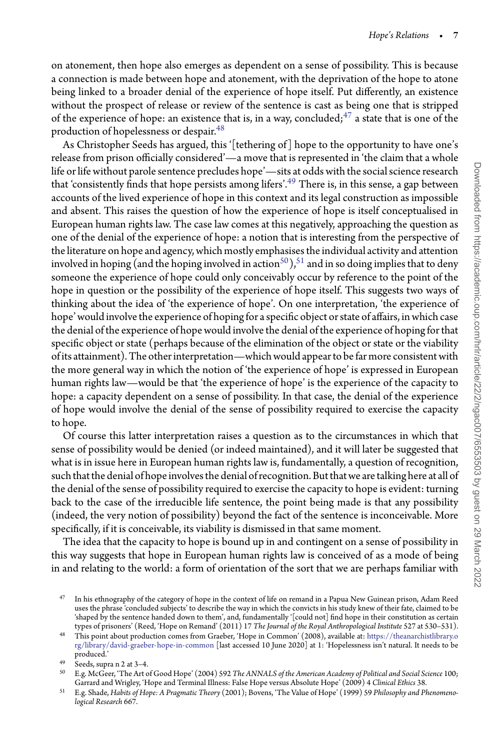on atonement, then hope also emerges as dependent on a sense of possibility. This is because a connection is made between hope and atonement, with the deprivation of the hope to atone being linked to a broader denial of the experience of hope itself. Put differently, an existence without the prospect of release or review of the sentence is cast as being one that is stripped of the experience of hope: an existence that is, in a way, concluded;  $47$  a state that is one of the production of hopelessness or despair.<sup>48</sup>

As Christopher Seeds has argued, this '[tethering of] hope to the opportunity to have one's release from prison officially considered'—a move that is represented in 'the claim that a whole life or life without parole sentence precludes hope'—sits at odds with the social science research that 'consistently finds that hope persists among lifers'[.49](#page-6-2) There is, in this sense, a gap between accounts of the lived experience of hope in this context and its legal construction as impossible and absent. This raises the question of how the experience of hope is itself conceptualised in European human rights law. The case law comes at this negatively, approaching the question as one of the denial of the experience of hope: a notion that is interesting from the perspective of the literature on hope and agency, which mostly emphasises the individual activity and attention involved in hoping (and the hoping involved in action<sup>50</sup>),<sup>[51](#page-6-4)</sup> and in so doing implies that to deny someone the experience of hope could only conceivably occur by reference to the point of the hope in question or the possibility of the experience of hope itself. This suggests two ways of thinking about the idea of 'the experience of hope'. On one interpretation, 'the experience of hope' would involve the experience of hoping for a specific object or state of affairs, in which case the denial ofthe experience of hope would involvethe denial ofthe experience of hoping forthat specific object or state (perhaps because of the elimination of the object or state or the viability of its attainment). The other interpretation—which would appearto be far more consistent with the more general way in which the notion of 'the experience of hope' is expressed in European human rights law—would be that 'the experience of hope' is the experience of the capacity to hope: a capacity dependent on a sense of possibility. In that case, the denial of the experience of hope would involve the denial of the sense of possibility required to exercise the capacity to hope.

Of course this latter interpretation raises a question as to the circumstances in which that sense of possibility would be denied (or indeed maintained), and it will later be suggested that what is in issue here in European human rights law is, fundamentally, a question of recognition, such that the denial of hope involves the denial of recognition. But that we are talking here at all of the denial of the sense of possibility required to exercise the capacity to hope is evident: turning back to the case of the irreducible life sentence, the point being made is that any possibility (indeed, the very notion of possibility) beyond the fact of the sentence is inconceivable. More specifically, if it is conceivable, its viability is dismissed in that same moment.

The idea that the capacity to hope is bound up in and contingent on a sense of possibility in this way suggests that hope in European human rights law is conceived of as a mode of being in and relating to the world: a form of orientation of the sort that we are perhaps familiar with

<span id="page-6-0"></span><sup>47</sup> In his ethnography of the category of hope in the context of life on remand in a Papua New Guinean prison, Adam Reed uses the phrase 'concluded subjects' to describe the way in which the convicts in his study knew of their fate, claimed to be 'shaped by the sentence handed down to them', and, fundamentally '[could not] find hope in their constitution as certain types of prisoners' (Reed, 'Hope on Remand' (2011) 17 *The Journal of the Royal Anthropological Institute* 527 at 530–531).

<span id="page-6-1"></span><sup>48</sup> This point about production comes from Graeber, 'Hope in Common' (2008), available at: [https://theanarchistlibrary.o](https://theanarchistlibrary.org/library/david-graeber-hope-in-common) [rg/library/david-graeber-hope-in-common](https://theanarchistlibrary.org/library/david-graeber-hope-in-common) [last accessed 10 June 2020] at 1: 'Hopelessness isn't natural. It needs to be produced.'

 $^{49}$  Seeds, supra n 2 at 3–4.

<span id="page-6-3"></span><span id="page-6-2"></span><sup>50</sup> E.g. McGeer, 'The Art of Good Hope' (2004) 592 *The ANNALS of the American Academy of Political and Social Science* 100; Garrard and Wrigley, 'Hope and Terminal Illness: False Hope versus Absolute Hope' (2009) 4 *Clinical Ethics* 38.

<span id="page-6-4"></span><sup>51</sup> E.g. Shade, *Habits of Hope: A Pragmatic Theory* (2001); Bovens, 'The Value of Hope' (1999) 59 *Philosophy and Phenomenological Research* 667.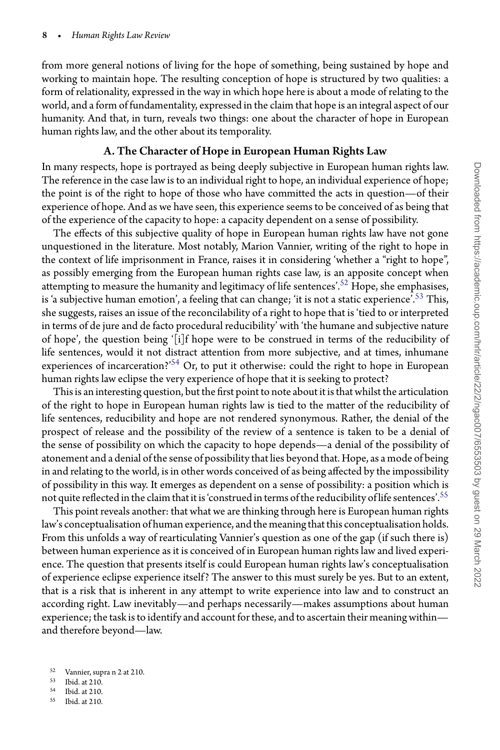from more general notions of living for the hope of something, being sustained by hope and working to maintain hope. The resulting conception of hope is structured by two qualities: a form of relationality, expressed in the way in which hope here is about a mode of relating to the world, and a form of fundamentality, expressed in the claim that hope is an integral aspect of our humanity. And that, in turn, reveals two things: one about the character of hope in European human rights law, and the other about its temporality.

#### A. The Character of Hope in European Human Rights Law

In many respects, hope is portrayed as being deeply subjective in European human rights law. The reference in the case law is to an individual right to hope, an individual experience of hope; the point is of the right to hope of those who have committed the acts in question—of their experience of hope. And as we have seen, this experience seems to be conceived of as being that of the experience of the capacity to hope: a capacity dependent on a sense of possibility.

The effects of this subjective quality of hope in European human rights law have not gone unquestioned in the literature. Most notably, Marion Vannier, writing of the right to hope in the context of life imprisonment in France, raises it in considering 'whether a "right to hope", as possibly emerging from the European human rights case law, is an apposite concept when attempting to measure the humanity and legitimacy of life sentences'.<sup>[52](#page-7-0)</sup> Hope, she emphasises, is 'a subjective human emotion', a feeling that can change; 'it is not a static experience'.<sup>[53](#page-7-1)</sup> This, she suggests, raises an issue of the reconcilability of a right to hope that is 'tied to or interpreted in terms of de jure and de facto procedural reducibility' with 'the humane and subjective nature of hope', the question being '[i]f hope were to be construed in terms of the reducibility of life sentences, would it not distract attention from more subjective, and at times, inhumane experiences of incarceration?'<sup>[54](#page-7-2)</sup> Or, to put it otherwise: could the right to hope in European human rights law eclipse the very experience of hope that it is seeking to protect?

This is an interesting question, but the first point to note about it is that whilst the articulation of the right to hope in European human rights law is tied to the matter of the reducibility of life sentences, reducibility and hope are not rendered synonymous. Rather, the denial of the prospect of release and the possibility of the review of a sentence is taken to be a denial of the sense of possibility on which the capacity to hope depends—a denial of the possibility of atonement and a denial of the sense of possibility that lies beyond that. Hope, as a mode of being in and relating to the world, is in other words conceived of as being affected by the impossibility of possibility in this way. It emerges as dependent on a sense of possibility: a position which is not quite reflected in the claim that it is 'construed in terms of the reducibility of life sentences'.<sup>[55](#page-7-3)</sup>

This point reveals another: that what we are thinking through here is European human rights law's conceptualisation of human experience, and the meaning that this conceptualisation holds. From this unfolds a way of rearticulating Vannier's question as one of the gap (if such there is) between human experience as it is conceived of in European human rights law and lived experience. The question that presents itself is could European human rights law's conceptualisation of experience eclipse experience itself? The answer to this must surely be yes. But to an extent, that is a risk that is inherent in any attempt to write experience into law and to construct an according right. Law inevitably—and perhaps necessarily—makes assumptions about human experience; the task is to identify and account for these, and to ascertain their meaning within and therefore beyond—law.

- <span id="page-7-1"></span> $^{54}$  Ibid. at 210.<br> $^{55}$  Ibid. at 210.
- <span id="page-7-3"></span><span id="page-7-2"></span><sup>55</sup> Ibid. at 210.

<sup>52</sup> Vannier, supra n 2 at 210.

<span id="page-7-0"></span> $\frac{53}{54}$  Ibid. at 210.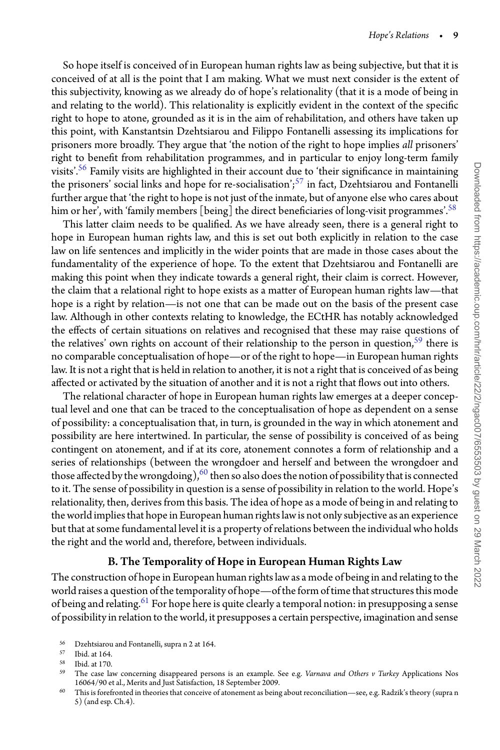So hope itself is conceived of in European human rights law as being subjective, but that it is conceived of at all is the point that I am making. What we must next consider is the extent of this subjectivity, knowing as we already do of hope's relationality (that it is a mode of being in and relating to the world). This relationality is explicitly evident in the context of the specific right to hope to atone, grounded as it is in the aim of rehabilitation, and others have taken up this point, with Kanstantsin Dzehtsiarou and Filippo Fontanelli assessing its implications for prisoners more broadly. They argue that 'the notion of the right to hope implies *all* prisoners' right to benefit from rehabilitation programmes, and in particular to enjoy long-term family visits'[.56](#page-8-0) Family visits are highlighted in their account due to 'their significance in maintaining the prisoners' social links and hope for re-socialisation'; $57$  in fact, Dzehtsiarou and Fontanelli further argue that 'the right to hope is not just of the inmate, but of anyone else who cares about him or her', with 'family members [being] the direct beneficiaries of long-visit programmes'.<sup>[58](#page-8-2)</sup>

This latter claim needs to be qualified. As we have already seen, there is a general right to hope in European human rights law, and this is set out both explicitly in relation to the case law on life sentences and implicitly in the wider points that are made in those cases about the fundamentality of the experience of hope. To the extent that Dzehtsiarou and Fontanelli are making this point when they indicate towards a general right, their claim is correct. However, the claim that a relational right to hope exists as a matter of European human rights law—that hope is a right by relation—is not one that can be made out on the basis of the present case law. Although in other contexts relating to knowledge, the ECtHR has notably acknowledged the effects of certain situations on relatives and recognised that these may raise questions of the relatives' own rights on account of their relationship to the person in question,<sup>59</sup> there is no comparable conceptualisation of hope—or of the right to hope—in European human rights law. It is not a right that is held in relation to another, it is not a right that is conceived of as being affected or activated by the situation of another and it is not a right that flows out into others.

The relational character of hope in European human rights law emerges at a deeper conceptual level and one that can be traced to the conceptualisation of hope as dependent on a sense of possibility: a conceptualisation that, in turn, is grounded in the way in which atonement and possibility are here intertwined. In particular, the sense of possibility is conceived of as being contingent on atonement, and if at its core, atonement connotes a form of relationship and a series of relationships (between the wrongdoer and herself and between the wrongdoer and those affected by the wrongdoing),  $60$  then so also does the notion of possibility that is connected to it. The sense of possibility in question is a sense of possibility in relation to the world. Hope's relationality, then, derives from this basis. The idea of hope as a mode of being in and relating to the world impliesthat hope in European human rights law is not only subjective as an experience but that at some fundamental level it is a property of relations between the individual who holds the right and the world and, therefore, between individuals.

# B. The Temporality of Hope in European Human Rights Law

The construction of hope in European human rights law as a mode of being in and relating to the world raises a question of the temporality of hope—of the form of time that structures this mode of being and relating.<sup>[61](#page-9-0)</sup> For hope here is quite clearly a temporal notion: in presupposing a sense of possibility in relation to the world, it presupposes a certain perspective, imagination and sense

<sup>&</sup>lt;sup>56</sup> Dzehtsiarou and Fontanelli, supra n 2 at 164.<br> $\frac{57}{2}$  Ibid at 164.

<span id="page-8-0"></span>Ibid. at 164.

<span id="page-8-1"></span> $58$  Ibid. at 170.<br> $59$  The case lay

<span id="page-8-2"></span><sup>59</sup> The case law concerning disappeared persons is an example. See e.g. *Varnava and Others v Turkey* Applications Nos 16064/90 et al., Merits and Just Satisfaction, 18 September 2009.

<span id="page-8-4"></span><span id="page-8-3"></span><sup>&</sup>lt;sup>60</sup> This is forefronted in theories that conceive of atonement as being about reconciliation—see, e.g. Radzik's theory (supra n 5) (and esp. Ch.4).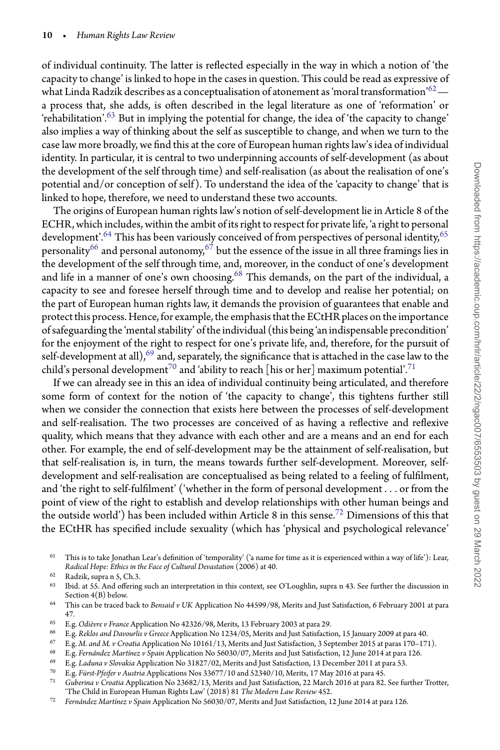of individual continuity. The latter is reflected especially in the way in which a notion of 'the capacity to change' is linked to hope in the cases in question. This could be read as expressive of what Linda Radzik describes as a conceptualisation of atonement as 'moral transformation' $^{62}$  a process that, she adds, is often described in the legal literature as one of 'reformation' or 'rehabilitation'. $63$  But in implying the potential for change, the idea of 'the capacity to change' also implies a way of thinking about the self as susceptible to change, and when we turn to the case law more broadly, we find this at the core of European human rights law's idea of individual identity. In particular, it is central to two underpinning accounts of self-development (as about the development of the self through time) and self-realisation (as about the realisation of one's potential and/or conception of self). To understand the idea of the 'capacity to change' that is linked to hope, therefore, we need to understand these two accounts.

The origins of European human rights law's notion of self-development lie in Article 8 of the ECHR, which includes, within the ambit of its right to respect for private life, 'a right to personal development'.<sup>[64](#page-9-3)</sup> This has been variously conceived of from perspectives of personal identity,<sup>[65](#page-9-4)</sup> personality<sup>[66](#page-9-5)</sup> and personal autonomy,<sup>[67](#page-9-6)</sup> but the essence of the issue in all three framings lies in the development of the self through time, and, moreover, in the conduct of one's development and life in a manner of one's own choosing.<sup>68</sup> This demands, on the part of the individual, a capacity to see and foresee herself through time and to develop and realise her potential; on the part of European human rights law, it demands the provision of guarantees that enable and protect this process. Hence, for example, the emphasis that the ECtHR places on the importance of safeguarding the 'mental stability' of the individual (this being 'an indispensable precondition' for the enjoyment of the right to respect for one's private life, and, therefore, for the pursuit of self-development at all),<sup>[69](#page-9-8)</sup> and, separately, the significance that is attached in the case law to the child's personal development<sup>[70](#page-9-9)</sup> and 'ability to reach [his or her] maximum potential'.<sup>71</sup>

If we can already see in this an idea of individual continuity being articulated, and therefore some form of context for the notion of 'the capacity to change', this tightens further still when we consider the connection that exists here between the processes of self-development and self-realisation. The two processes are conceived of as having a reflective and reflexive quality, which means that they advance with each other and are a means and an end for each other. For example, the end of self-development may be the attainment of self-realisation, but that self-realisation is, in turn, the means towards further self-development. Moreover, selfdevelopment and self-realisation are conceptualised as being related to a feeling of fulfilment, and 'the right to self-fulfilment' ('whether in the form of personal development *...* or from the point of view of the right to establish and develop relationships with other human beings and the outside world') has been included within Article 8 in this sense.<sup>[72](#page-9-11)</sup> Dimensions of this that the ECtHR has specified include sexuality (which has 'physical and psychological relevance'

<span id="page-9-0"></span> $^{62}$  Radzik, supra n 5, Ch.3.<br> $^{63}$  Ibid at 55 And offering

- <sup>65</sup> E.g. *Odièvre v France* Application No 42326/98, Merits, 13 February 2003 at para 29.
- <span id="page-9-4"></span><sup>66</sup> E.g. *Reklos and Davourlis v Greece* Application No 1234/05, Merits and Just Satisfaction, 15 January 2009 at para 40.
- <span id="page-9-5"></span><sup>67</sup> E.g. *M. and M. v Croatia* Application No 10161/13, Merits and Just Satisfaction, 3 September 2015 at paras 170–171).
- <span id="page-9-6"></span><sup>68</sup> E.g. *Fernández Martínez v Spain* Application No 56030/07, Merits and Just Satisfaction, 12 June 2014 at para 126.
- <span id="page-9-7"></span><sup>69</sup> E.g. *Laduna v Slovakia* Application No 31827/02, Merits and Just Satisfaction, 13 December 2011 at para 53.
- <span id="page-9-8"></span><sup>70</sup> E.g. *Fürst-Pfeifer v Austria* Applications Nos 33677/10 and 52340/10, Merits, 17 May 2016 at para 45.
- <span id="page-9-10"></span><span id="page-9-9"></span><sup>71</sup> *Guberina v Croatia* Application No 23682/13, Merits and Just Satisfaction, 22 March 2016 at para 82. See further Trotter, 'The Child in European Human Rights Law' (2018) 81 *The Modern Law Review* 452.
- <span id="page-9-11"></span><sup>72</sup> *Fernández Martínez v Spain* Application No 56030/07, Merits and Just Satisfaction, 12 June 2014 at para 126.

 $61$  This is to take Jonathan Lear's definition of 'temporality' ('a name for time as it is experienced within a way of life'): Lear, *Radical Hope: Ethics in the Face of Cultural Devastation* (2006) at 40.

<span id="page-9-1"></span>Ibid. at 55. And offering such an interpretation in this context, see O'Loughlin, supra n 43. See further the discussion in Section 4(B) below.

<span id="page-9-3"></span><span id="page-9-2"></span><sup>64</sup> This can be traced back to *Bensaid v UK* Application No 44599/98, Merits and Just Satisfaction, 6 February 2001 at para 47.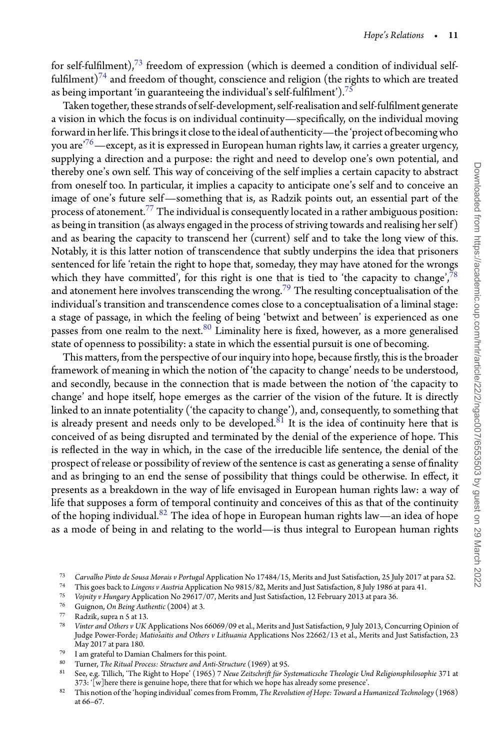for self-fulfilment),<sup>[73](#page-10-0)</sup> freedom of expression (which is deemed a condition of individual selffulfilment)<sup>74</sup> and freedom of thought, conscience and religion (the rights to which are treated as being important 'in guaranteeing the individual's self-fulfilment').<sup>[75](#page-10-2)</sup>

Taken together, these strands of self-development, self-realisation and self-fulfilment generate a vision in which the focus is on individual continuity—specifically, on the individual moving forward in her life. This brings it close to the ideal of authenticity—the 'project of becoming who you are<sup> $76$ </sup>—except, as it is expressed in European human rights law, it carries a greater urgency, supplying a direction and a purpose: the right and need to develop one's own potential, and thereby one's own self. This way of conceiving of the self implies a certain capacity to abstract from oneself too. In particular, it implies a capacity to anticipate one's self and to conceive an image of one's future self—something that is, as Radzik points out, an essential part of the process of atonement.[77](#page-10-4) The individual is consequently located in a rather ambiguous position: as being in transition (as always engaged in the process of striving towards and realising her self) and as bearing the capacity to transcend her (current) self and to take the long view of this. Notably, it is this latter notion of transcendence that subtly underpins the idea that prisoners sentenced for life 'retain the right to hope that, someday, they may have atoned for the wrongs which they have committed', for this right is one that is tied to 'the capacity to change',<sup>78</sup> and atonement here involves transcending the wrong.<sup>[79](#page-10-6)</sup> The resulting conceptualisation of the individual's transition and transcendence comes close to a conceptualisation of a liminal stage: a stage of passage, in which the feeling of being 'betwixt and between' is experienced as one passes from one realm to the next.<sup>[80](#page-10-7)</sup> Liminality here is fixed, however, as a more generalised state of openness to possibility: a state in which the essential pursuit is one of becoming.

This matters, from the perspective of our inquiry into hope, because firstly, this is the broader framework of meaning in which the notion of 'the capacity to change' needs to be understood, and secondly, because in the connection that is made between the notion of 'the capacity to change' and hope itself, hope emerges as the carrier of the vision of the future. It is directly linked to an innate potentiality ('the capacity to change'), and, consequently, to something that is already present and needs only to be developed.<sup>[81](#page-10-8)</sup> It is the idea of continuity here that is conceived of as being disrupted and terminated by the denial of the experience of hope. This is reflected in the way in which, in the case of the irreducible life sentence, the denial of the prospect of release or possibility of review of the sentence is cast as generating a sense of finality and as bringing to an end the sense of possibility that things could be otherwise. In effect, it presents as a breakdown in the way of life envisaged in European human rights law: a way of life that supposes a form of temporal continuity and conceives of this as that of the continuity of the hoping individual. $82$  The idea of hope in European human rights law—an idea of hope as a mode of being in and relating to the world—is thus integral to European human rights

<sup>73</sup> *Carvalho Pinto de Sousa Morais v Portugal* Application No 17484/15, Merits and Just Satisfaction, 25 July 2017 at para 52.

<span id="page-10-0"></span><sup>74</sup> This goes back to *Lingens v Austria* Application No 9815/82, Merits and Just Satisfaction, 8 July 1986 at para 41.

<span id="page-10-1"></span><sup>75</sup> *Vojnity v Hungary* Application No 29617/07, Merits and Just Satisfaction, 12 February 2013 at para 36.

<span id="page-10-2"></span><sup>76</sup> Guignon, *On Being Authentic* (2004) at 3.

<span id="page-10-3"></span><sup>77</sup> Radzik, supra n 5 at 13.<br>78 *Vintar and Otham* u *IIV* 

<span id="page-10-5"></span><span id="page-10-4"></span><sup>78</sup> *Vinter and Others v UK* Applications Nos 66069/09 et al., Merits and Just Satisfaction, 9 July 2013, Concurring Opinion of Judge Power-Forde; Matiosaitis and Others v Lithuania Applications Nos 22662/13 et al., Merits and Just Satisfaction, 23 May 2017 at para 180.

<sup>79</sup> I am grateful to Damian Chalmers for this point.

<span id="page-10-6"></span><sup>80</sup> Turner, *The Ritual Process: Structure and Anti-Structure* (1969) at 95.

<span id="page-10-7"></span><sup>81</sup> See, e.g. Tillich, 'The Right to Hope' (1965) 7 *Neue Zeitschrift für Systematicsche Theologie Und Religionsphilosophie* 371 at 373: '[w]here there is genuine hope, there that for which we hope has already some presence'.

<span id="page-10-9"></span><span id="page-10-8"></span><sup>82</sup> This notion of the 'hoping individual' comes from Fromm, *The Revolution of Hope: Toward a Humanized Technology* (1968) at 66–67.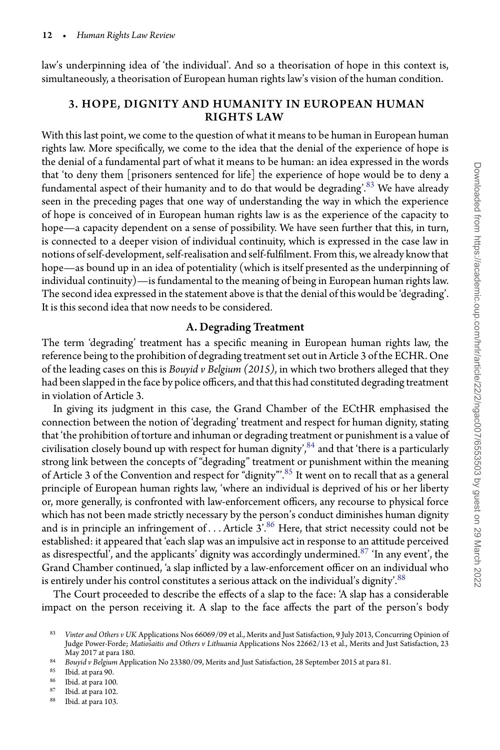law's underpinning idea of 'the individual'. And so a theorisation of hope in this context is, simultaneously, a theorisation of European human rights law's vision of the human condition.

## 3. HOPE, DIGNITY AND HUMANITY IN EUROPEAN HUMAN RIGHTS LAW

With this last point, we come to the question of what it means to be human in European human rights law. More specifically, we come to the idea that the denial of the experience of hope is the denial of a fundamental part of what it means to be human: an idea expressed in the words that 'to deny them [prisoners sentenced for life] the experience of hope would be to deny a fundamental aspect of their humanity and to do that would be degrading'.  $83$  We have already seen in the preceding pages that one way of understanding the way in which the experience of hope is conceived of in European human rights law is as the experience of the capacity to hope—a capacity dependent on a sense of possibility. We have seen further that this, in turn, is connected to a deeper vision of individual continuity, which is expressed in the case law in notions of self-development, self-realisation and self-fulfilment. From this, we already know that hope—as bound up in an idea of potentiality (which is itself presented as the underpinning of individual continuity)—is fundamental to the meaning of being in European human rights law. The second idea expressed in the statement above is that the denial of this would be 'degrading'. It is this second idea that now needs to be considered.

#### A. Degrading Treatment

The term 'degrading' treatment has a specific meaning in European human rights law, the reference being to the prohibition of degrading treatment set out in Article 3 of the ECHR. One of the leading cases on this is *Bouyid v Belgium (2015)*, in which two brothers alleged that they had been slapped in the face by police officers, and that this had constituted degrading treatment in violation of Article 3.

In giving its judgment in this case, the Grand Chamber of the ECtHR emphasised the connection between the notion of 'degrading' treatment and respect for human dignity, stating that 'the prohibition of torture and inhuman or degrading treatment or punishment is a value of civilisation closely bound up with respect for human dignity',  $84$  and that 'there is a particularly strong link between the concepts of "degrading" treatment or punishment within the meaning of Article 3 of the Convention and respect for "dignity".<sup>[85](#page-11-2)</sup> It went on to recall that as a general principle of European human rights law, 'where an individual is deprived of his or her liberty or, more generally, is confronted with law-enforcement officers, any recourse to physical force which has not been made strictly necessary by the person's conduct diminishes human dignity and is in principle an infringement of ... Article 3<sup>'</sup>.<sup>[86](#page-11-3)</sup> Here, that strict necessity could not be established: it appeared that 'each slap was an impulsive act in response to an attitude perceived as disrespectful', and the applicants' dignity was accordingly undermined.<sup>[87](#page-11-4)</sup> 'In any event', the Grand Chamber continued, 'a slap inflicted by a law-enforcement officer on an individual who is entirely under his control constitutes a serious attack on the individual's dignity'.<sup>[88](#page-11-5)</sup>

The Court proceeded to describe the effects of a slap to the face: 'A slap has a considerable impact on the person receiving it. A slap to the face affects the part of the person's body

- <span id="page-11-3"></span> $\begin{array}{c} 87 \ \hline \text{B}88 \ \hline \text{B}102 \ \hline \end{array}$  Thid, at para 102.
- <span id="page-11-5"></span><span id="page-11-4"></span>Ibid. at para 103.

<span id="page-11-0"></span><sup>83</sup> *Vinter and Others v UK* Applications Nos 66069/09 et al., Merits and Just Satisfaction, 9 July 2013, Concurring Opinion of Judge Power-Forde; *Matiosaitis and Others v Lithuania* Applications Nos 22662/13 et al., Merits and Just Satisfaction, 23 May 2017 at para 180.

<sup>84</sup> *Bouyid v Belgium* Application No 23380/09, Merits and Just Satisfaction, 28 September 2015 at para 81.

<span id="page-11-1"></span> $\begin{array}{c} 85 \ 86 \ \end{array}$  Ibid. at para 90.

<span id="page-11-2"></span> $\frac{86}{87}$  Ibid. at para 100.<br> $\frac{87}{1}$  Ibid. at para 102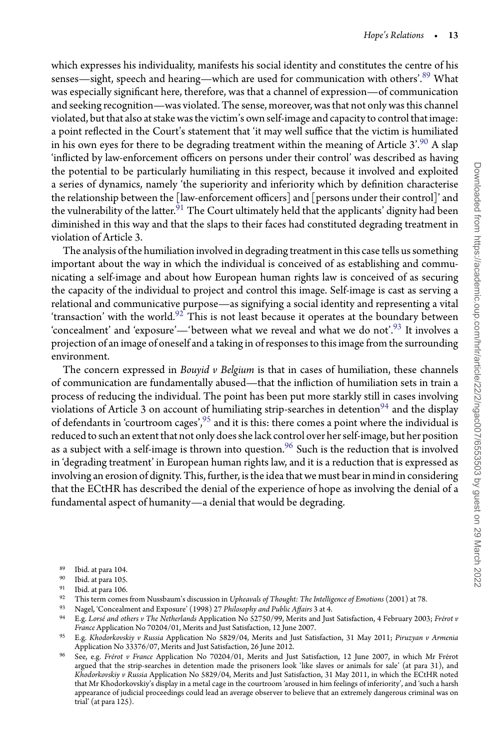which expresses his individuality, manifests his social identity and constitutes the centre of his senses—sight, speech and hearing—which are used for communication with others'.[89](#page-12-0) What was especially significant here, therefore, was that a channel of expression—of communication and seeking recognition—was violated. The sense, moreover, was that not only was this channel violated, butthat also at stake wasthe victim's own self-image and capacityto controlthat image: a point reflected in the Court's statement that 'it may well suffice that the victim is humiliated in his own eyes for there to be degrading treatment within the meaning of Article  $3'$ .<sup>[90](#page-12-1)</sup> A slap 'inflicted by law-enforcement officers on persons under their control' was described as having the potential to be particularly humiliating in this respect, because it involved and exploited a series of dynamics, namely 'the superiority and inferiority which by definition characterise the relationship between the [law-enforcement officers] and [persons under their control]' and the vulnerability of the latter.<sup>91</sup> The Court ultimately held that the applicants' dignity had been diminished in this way and that the slaps to their faces had constituted degrading treatment in violation of Article 3.

The analysis of the humiliation involved in degrading treatment in this case tells us something important about the way in which the individual is conceived of as establishing and communicating a self-image and about how European human rights law is conceived of as securing the capacity of the individual to project and control this image. Self-image is cast as serving a relational and communicative purpose—as signifying a social identity and representing a vital 'transaction' with the world.<sup>[92](#page-12-3)</sup> This is not least because it operates at the boundary between 'concealment' and 'exposure'—'between what we reveal and what we do not'.<sup>[93](#page-12-4)</sup> It involves a projection of an image of oneself and a taking in of responses to this image from the surrounding environment.

The concern expressed in *Bouyid v Belgium* is that in cases of humiliation, these channels of communication are fundamentally abused—that the infliction of humiliation sets in train a process of reducing the individual. The point has been put more starkly still in cases involving violations of Article 3 on account of humiliating strip-searches in detention<sup>94</sup> and the display of defendants in 'courtroom cages',  $95$  and it is this: there comes a point where the individual is reduced to such an extent that not only does she lack control over her self-image, but her position as a subject with a self-image is thrown into question.<sup>[96](#page-12-7)</sup> Such is the reduction that is involved in 'degrading treatment' in European human rights law, and it is a reduction that is expressed as involving an erosion of dignity. This, further, is the idea that we must bear in mind in considering that the ECtHR has described the denial of the experience of hope as involving the denial of a fundamental aspect of humanity—a denial that would be degrading.

- $\begin{array}{c} 89 \ 90 \ \text{Bid. at para } 104. \end{array}$
- <span id="page-12-0"></span> $\frac{90}{91}$  Ibid. at para 105.
- <span id="page-12-1"></span> $^{91}$  Ibid. at para 106.<br> $^{92}$  This term comes
- <span id="page-12-2"></span>92 This term comes from Nussbaum's discussion in *Upheavals of Thought: The Intelligence of Emotions* (2001) at 78.<br>93 Novel 'Consecutivational Exposures' (1998) 27 Philosophy and Public *Affaire* 2 at 4.
- <span id="page-12-3"></span><sup>93</sup> Nagel, 'Concealment and Exposure' (1998) 27 *Philosophy and Public Affairs* 3 at 4.
- <span id="page-12-5"></span><span id="page-12-4"></span><sup>94</sup> E.g. *Lorsé and others v The Netherlands* Application No 52750/99, Merits and Just Satisfaction, 4 February 2003; *Frérot v France* Application No 70204/01, Merits and Just Satisfaction, 12 June 2007.
- <sup>95</sup> E.g. *Khodorkovskiy v Russia* Application No 5829/04, Merits and Just Satisfaction, 31 May 2011; *Piruzyan v Armenia* Application No 33376/07, Merits and Just Satisfaction, 26 June 2012.
- <span id="page-12-7"></span><span id="page-12-6"></span><sup>96</sup> See, e.g. *Frérot v France* Application No 70204/01, Merits and Just Satisfaction, 12 June 2007, in which Mr Frérot argued that the strip-searches in detention made the prisoners look 'like slaves or animals for sale' (at para 31), and *Khodorkovskiy v Russia* Application No 5829/04, Merits and Just Satisfaction, 31 May 2011, in which the ECtHR noted that Mr Khodorkovskiy's display in a metal cage in the courtroom 'aroused in him feelings of inferiority', and 'such a harsh appearance of judicial proceedings could lead an average observer to believe that an extremely dangerous criminal was on trial' (at para 125).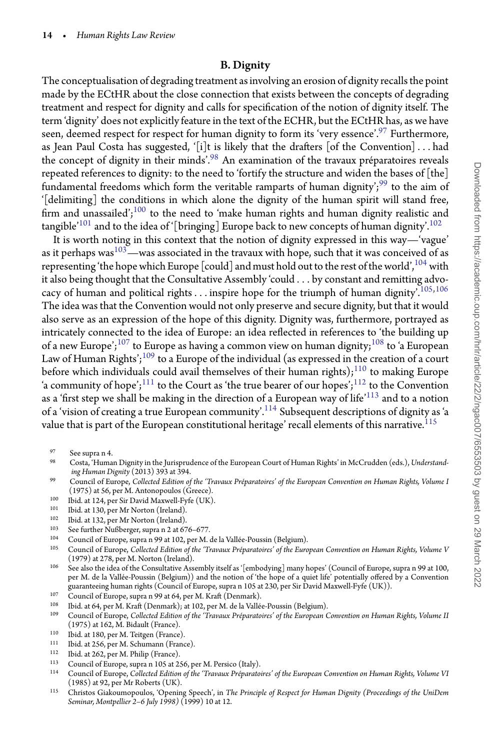## B. Dignity

The conceptualisation of degrading treatment as involving an erosion of dignity recalls the point made by the ECtHR about the close connection that exists between the concepts of degrading treatment and respect for dignity and calls for specification of the notion of dignity itself. The term 'dignity' does not explicitly feature in the text of the ECHR, but the ECtHR has, as we have seen, deemed respect for respect for human dignity to form its 'very essence'.<sup>[97](#page-13-0)</sup> Furthermore, as Jean Paul Costa has suggested, '[i]t is likely that the drafters [of the Convention]*...* had the concept of dignity in their minds'.[98](#page-13-1) An examination of the travaux préparatoires reveals repeated references to dignity: to the need to 'fortify the structure and widen the bases of [the] fundamental freedoms which form the veritable ramparts of human dignity';<sup>99</sup> to the aim of '[delimiting] the conditions in which alone the dignity of the human spirit will stand free, firm and unassailed'; $100$  to the need to 'make human rights and human dignity realistic and tangible<sup>'[101](#page-13-4)</sup> and to the idea of '[bringing] Europe back to new concepts of human dignity'.<sup>[102](#page-13-5)</sup>

It is worth noting in this context that the notion of dignity expressed in this way—'vague' as it perhaps was<sup>103</sup>—was associated in the travaux with hope, such that it was conceived of as representing 'the hope which Europe [could] and must hold out to the rest of the world',  $^{104}$  $^{104}$  $^{104}$  with it also being thought that the Consultative Assembly 'could *...* by constant and remitting advocacy of human and political rights*...* inspire hope for the triumph of human dignity'.[105](#page-13-8),[106](#page-13-9) The idea was that the Convention would not only preserve and secure dignity, but that it would also serve as an expression of the hope of this dignity. Dignity was, furthermore, portrayed as intricately connected to the idea of Europe: an idea reflected in references to 'the building up of a new Europe';<sup>[107](#page-13-10)</sup> to Europe as having a common view on human dignity;<sup>108</sup> to 'a European Law of Human Rights';<sup>[109](#page-13-12)</sup> to a Europe of the individual (as expressed in the creation of a court before which individuals could avail themselves of their human rights);<sup>[110](#page-13-13)</sup> to making Europe 'a community of hope';<sup>111</sup> to the Court as 'the true bearer of our hopes';<sup>[112](#page-13-15)</sup> to the Convention as a 'first step we shall be making in the direction of a European way of life'<sup>[113](#page-13-16)</sup> and to a notion of a 'vision of creating a true European community'.<sup>[114](#page-13-17)</sup> Subsequent descriptions of dignity as 'a value that is part of the European constitutional heritage' recall elements of this narrative.  $^{115}$  $^{115}$  $^{115}$ 

- <span id="page-13-1"></span><span id="page-13-0"></span><sup>98</sup> Costa, 'Human Dignity in the Jurisprudence of the European Court of Human Rights' in McCrudden (eds.), *Understanding Human Dignity* (2013) 393 at 394.
- <sup>99</sup> Council of Europe, *Collected Edition of the 'Travaux Préparatoires' of the European Convention on Human Rights, Volume I* (1975) at 56, per M. Antonopoulos (Greece).
- <span id="page-13-2"></span><sup>100</sup> Ibid. at 124, per Sir David Maxwell-Fyfe (UK).
- <span id="page-13-3"></span> $101$  Ibid. at 130, per Mr Norton (Ireland).<br> $102$  Ibid. at 132, per Mr Norton (Ireland).
- <span id="page-13-4"></span><sup>102</sup> Ibid. at 132, per Mr Norton (Ireland).<br><sup>103</sup> See furth an Mr<sup>0</sup>h annouan music 2 at 67<sup>-1</sup>
- <span id="page-13-5"></span><sup>103</sup> See further Nußberger, supra n 2 at 676–677.<br><sup>104</sup> Cauncil of Europe, gupra p 00 at 102 per M.
- <span id="page-13-6"></span><sup>104</sup> Council of Europe, supra n 99 at 102, per M. de la Vallée-Poussin (Belgium).
- <span id="page-13-8"></span><span id="page-13-7"></span><sup>105</sup> Council of Europe, *Collected Edition of the 'Travaux Préparatoires' of the European Convention on Human Rights, Volume V* (1979) at 278, per M. Norton (Ireland).
- <span id="page-13-9"></span><sup>106</sup> See also the idea of the Consultative Assembly itself as '[embodying] many hopes' (Council of Europe, supra n 99 at 100, per M. de la Vallée-Poussin (Belgium)) and the notion of 'the hope of a quiet life' potentially offered by a Convention guaranteeing human rights (Council of Europe, supra n 105 at 230, per Sir David Maxwell-Fyfe (UK)).
- <sup>107</sup> Council of Europe, supra n 99 at 64, per M. Kraft (Denmark).
- <span id="page-13-10"></span><sup>108</sup> Ibid. at 64, per M. Kraft (Denmark); at 102, per M. de la Vallée-Poussin (Belgium).
- <span id="page-13-12"></span><span id="page-13-11"></span><sup>109</sup> Council of Europe, *Collected Edition of the 'Travaux Préparatoires' of the European Convention on Human Rights, Volume II* (1975) at 162, M. Bidault (France).
- <sup>110</sup> Ibid. at 180, per M. Teitgen (France).<br><sup>111</sup> Ibid. at 256 per M. Schumann (Franc
- <span id="page-13-13"></span><sup>111</sup> Ibid. at 256, per M. Schumann (France).<br><sup>112</sup> Ibid. at 262, per M. Philip (France).
- <span id="page-13-14"></span><sup>112</sup> Ibid. at 262, per M. Philip (France).<br><sup>113</sup> Council of Furone, supra n 105 at 23
- <span id="page-13-15"></span><sup>113</sup> Council of Europe, supra n 105 at 256, per M. Persico (Italy).<br><sup>114</sup> Council of Europe, Calleddal Edition of the 'Transus Préparate
- <span id="page-13-17"></span><span id="page-13-16"></span><sup>114</sup> Council of Europe, *Collected Edition of the 'Travaux Préparatoires' of the European Convention on Human Rights, Volume VI* (1985) at 92, per Mr Roberts (UK).
- <span id="page-13-18"></span><sup>115</sup> Christos Giakoumopoulos, 'Opening Speech', in *The Principle of Respect for Human Dignity (Proceedings of the UniDem Seminar, Montpellier 2–6 July 1998)* (1999) 10 at 12.

 $^{97}$  See supra n 4.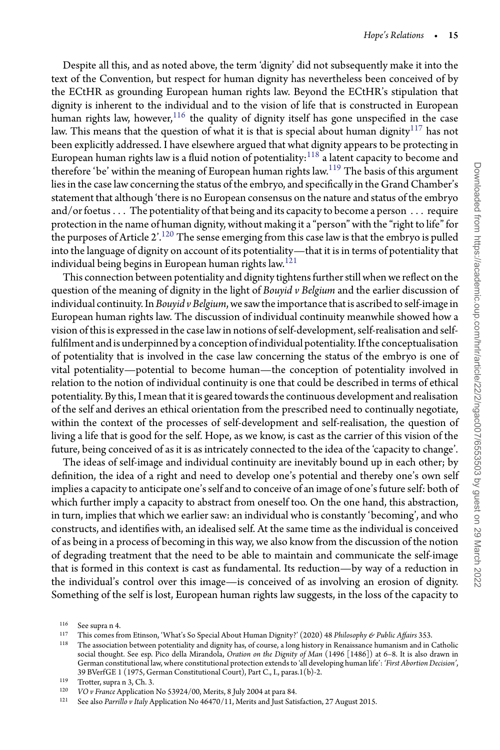Despite all this, and as noted above, the term 'dignity' did not subsequently make it into the text of the Convention, but respect for human dignity has nevertheless been conceived of by the ECtHR as grounding European human rights law. Beyond the ECtHR's stipulation that dignity is inherent to the individual and to the vision of life that is constructed in European human rights law, however,  $116$  the quality of dignity itself has gone unspecified in the case law. This means that the question of what it is that is special about human dignity $^{117}$  $^{117}$  $^{117}$  has not been explicitly addressed. I have elsewhere argued that what dignity appears to be protecting in European human rights law is a fluid notion of potentiality:  $118$  a latent capacity to become and therefore 'be' within the meaning of European human rights law.<sup>[119](#page-14-3)</sup> The basis of this argument lies in the case law concerning the status of the embryo, and specifically in the Grand Chamber's statement that although 'there is no European consensus on the nature and status of the embryo and/or foetus*...* The potentiality of that being and its capacity to become a person *...* require protection in the name of human dignity, without making it a "person" with the "right to life" for the purposes of Article 2'.<sup>[120](#page-14-4)</sup> The sense emerging from this case law is that the embryo is pulled into the language of dignity on account of its potentiality—that it is in terms of potentiality that individual being begins in European human rights law.<sup>[121](#page-14-5)</sup>

This connection between potentiality and dignity tightens further still when we reflect on the question of the meaning of dignity in the light of *Bouyid v Belgium* and the earlier discussion of individual continuity. In *Bouyid v Belgium*, we saw the importance that is ascribed to self-image in European human rights law. The discussion of individual continuity meanwhile showed how a vision of this is expressed in the case law in notions of self-development, self-realisation and selffulfilment and is underpinned by a conception of individual potentiality. Ifthe conceptualisation of potentiality that is involved in the case law concerning the status of the embryo is one of vital potentiality—potential to become human—the conception of potentiality involved in relation to the notion of individual continuity is one that could be described in terms of ethical potentiality. By this, I mean that it is geared towards the continuous development and realisation of the self and derives an ethical orientation from the prescribed need to continually negotiate, within the context of the processes of self-development and self-realisation, the question of living a life that is good for the self. Hope, as we know, is cast as the carrier of this vision of the future, being conceived of as it is as intricately connected to the idea of the 'capacity to change'.

The ideas of self-image and individual continuity are inevitably bound up in each other; by definition, the idea of a right and need to develop one's potential and thereby one's own self implies a capacity to anticipate one's self and to conceive of an image of one's future self: both of which further imply a capacity to abstract from oneself too. On the one hand, this abstraction, in turn, implies that which we earlier saw: an individual who is constantly 'becoming', and who constructs, and identifies with, an idealised self. At the same time as the individual is conceived of as being in a process of becoming in this way, we also know from the discussion of the notion of degrading treatment that the need to be able to maintain and communicate the self-image that is formed in this context is cast as fundamental. Its reduction—by way of a reduction in the individual's control over this image—is conceived of as involving an erosion of dignity. Something of the self is lost, European human rights law suggests, in the loss of the capacity to

 $116$  See supra n 4.<br> $117$  This comes from

<span id="page-14-0"></span><sup>117</sup> This comes from Etinson, 'What's So Special About Human Dignity?' (2020) 48 *Philosophy & Public Affairs* 353.

<span id="page-14-2"></span><span id="page-14-1"></span><sup>118</sup> The association between potentiality and dignity has, of course, a long history in Renaissance humanism and in Catholic social thought. See esp. Pico della Mirandola, *Oration on the Dignity of Man* (1496 [1486]) at 6–8. It is also drawn in German constitutional law, where constitutional protection extends to 'all developing human life': *'First Abortion Decision'*, 39 BVerfGE 1 (1975, German Constitutional Court), Part C., I., paras.1(b)-2.

<sup>&</sup>lt;sup>119</sup> Trotter, supra n 3, Ch. 3.<br><sup>120</sup> *VO u* France Application

<span id="page-14-3"></span><sup>120</sup> *VO v France* Application No 53924/00, Merits, 8 July 2004 at para 84.

<span id="page-14-5"></span><span id="page-14-4"></span><sup>121</sup> See also *Parrillo v Italy* Application No 46470/11, Merits and Just Satisfaction, 27 August 2015.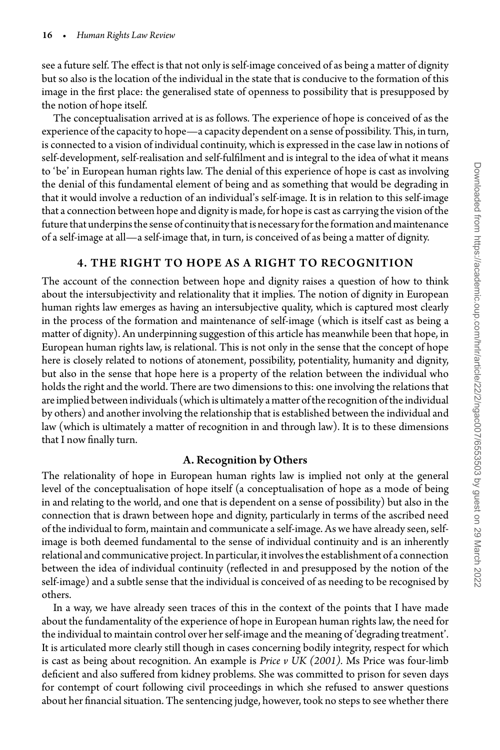see a future self. The effect is that not only is self-image conceived of as being a matter of dignity but so also is the location of the individual in the state that is conducive to the formation of this image in the first place: the generalised state of openness to possibility that is presupposed by the notion of hope itself.

The conceptualisation arrived at is as follows. The experience of hope is conceived of as the experience of the capacity to hope—a capacity dependent on a sense of possibility. This, in turn, is connected to a vision of individual continuity, which is expressed in the case law in notions of self-development, self-realisation and self-fulfilment and is integral to the idea of what it means to 'be' in European human rights law. The denial of this experience of hope is cast as involving the denial of this fundamental element of being and as something that would be degrading in that it would involve a reduction of an individual's self-image. It is in relation to this self-image that a connection between hope and dignity is made, for hope is cast as carrying the vision of the future that underpins the sense of continuity that is necessary for the formation and maintenance of a self-image at all—a self-image that, in turn, is conceived of as being a matter of dignity.

#### 4. THE RIGHT TO HOPE AS A RIGHT TO RECOGNITION

The account of the connection between hope and dignity raises a question of how to think about the intersubjectivity and relationality that it implies. The notion of dignity in European human rights law emerges as having an intersubjective quality, which is captured most clearly in the process of the formation and maintenance of self-image (which is itself cast as being a matter of dignity). An underpinning suggestion of this article has meanwhile been that hope, in European human rights law, is relational. This is not only in the sense that the concept of hope here is closely related to notions of atonement, possibility, potentiality, humanity and dignity, but also in the sense that hope here is a property of the relation between the individual who holds the right and the world. There are two dimensions to this: one involving the relations that are implied between individuals (which is ultimately a matter ofthe recognition ofthe individual by others) and another involving the relationship that is established between the individual and law (which is ultimately a matter of recognition in and through law). It is to these dimensions that I now finally turn.

#### A. Recognition by Others

The relationality of hope in European human rights law is implied not only at the general level of the conceptualisation of hope itself (a conceptualisation of hope as a mode of being in and relating to the world, and one that is dependent on a sense of possibility) but also in the connection that is drawn between hope and dignity, particularly in terms of the ascribed need of the individual to form, maintain and communicate a self-image. As we have already seen, selfimage is both deemed fundamental to the sense of individual continuity and is an inherently relational and communicative project. In particular, it involves the establishment of a connection between the idea of individual continuity (reflected in and presupposed by the notion of the self-image) and a subtle sense that the individual is conceived of as needing to be recognised by others.

In a way, we have already seen traces of this in the context of the points that I have made about the fundamentality of the experience of hope in European human rights law, the need for the individual to maintain control over her self-image and the meaning of 'degrading treatment'. It is articulated more clearly still though in cases concerning bodily integrity, respect for which is cast as being about recognition. An example is *Price v UK (2001).* Ms Price was four-limb deficient and also suffered from kidney problems. She was committed to prison for seven days for contempt of court following civil proceedings in which she refused to answer questions about her financial situation. The sentencing judge, however, took no steps to see whether there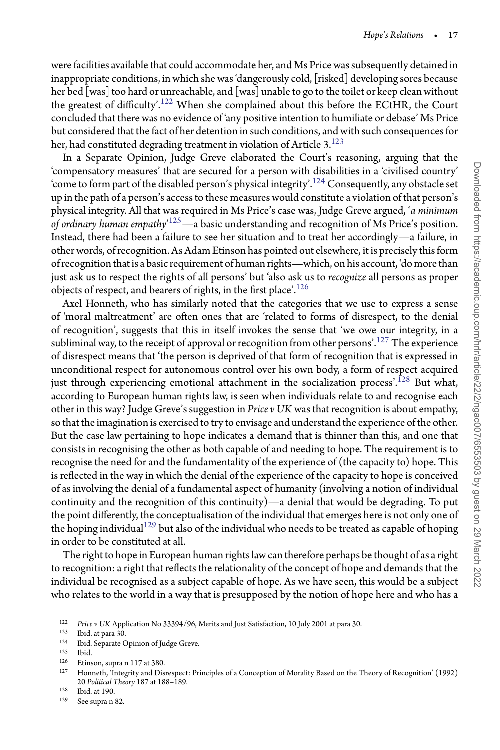were facilities available that could accommodate her, and Ms Price was subsequently detained in inappropriate conditions, in which she was 'dangerously cold, [risked] developing sores because her bed [was] too hard or unreachable, and [was] unable to go to the toilet or keep clean without the greatest of difficulty'.<sup>[122](#page-16-0)</sup> When she complained about this before the ECtHR, the Court concluded that there was no evidence of 'any positive intention to humiliate or debase' Ms Price but considered that the fact of her detention in such conditions, and with such consequences for her, had constituted degrading treatment in violation of Article 3.<sup>123</sup>

In a Separate Opinion, Judge Greve elaborated the Court's reasoning, arguing that the 'compensatory measures' that are secured for a person with disabilities in a 'civilised country' 'come to form part of the disabled person's physical integrity'.<sup>[124](#page-16-2)</sup> Consequently, any obstacle set up in the path of a person's access to these measures would constitute a violation of that person's physical integrity. All that was required in Ms Price's case was, Judge Greve argued, '*a minimum of ordinary human empathy*' [125](#page-16-3)—a basic understanding and recognition of Ms Price's position. Instead, there had been a failure to see her situation and to treat her accordingly—a failure, in other words, of recognition. As Adam Etinson has pointed out elsewhere, it is precisely this form of recognition that is a basic requirement of human rights—which, on his account, 'do more than just ask us to respect the rights of all persons' but 'also ask us to *recognize* all persons as proper objects of respect, and bearers of rights, in the first place'.<sup>126</sup>

Axel Honneth, who has similarly noted that the categories that we use to express a sense of 'moral maltreatment' are often ones that are 'related to forms of disrespect, to the denial of recognition', suggests that this in itself invokes the sense that 'we owe our integrity, in a subliminal way, to the receipt of approval or recognition from other persons'.<sup>[127](#page-16-5)</sup> The experience of disrespect means that 'the person is deprived of that form of recognition that is expressed in unconditional respect for autonomous control over his own body, a form of respect acquired just through experiencing emotional attachment in the socialization process'.<sup>[128](#page-16-6)</sup> But what, according to European human rights law, is seen when individuals relate to and recognise each other in this way? Judge Greve's suggestion in *Price v UK* was that recognition is about empathy, so that the imagination is exercised to try to envisage and understand the experience of the other. But the case law pertaining to hope indicates a demand that is thinner than this, and one that consists in recognising the other as both capable of and needing to hope. The requirement is to recognise the need for and the fundamentality of the experience of (the capacity to) hope. This is reflected in the way in which the denial of the experience of the capacity to hope is conceived of as involving the denial of a fundamental aspect of humanity (involving a notion of individual continuity and the recognition of this continuity)—a denial that would be degrading. To put the point differently, the conceptualisation of the individual that emerges here is not only one of the hoping individual<sup>[129](#page-16-7)</sup> but also of the individual who needs to be treated as capable of hoping in order to be constituted at all.

The right to hope in European human rights law can therefore perhaps be thought of as a right to recognition: a right that reflects the relationality of the concept of hope and demands that the individual be recognised as a subject capable of hope. As we have seen, this would be a subject who relates to the world in a way that is presupposed by the notion of hope here and who has a

<span id="page-16-3"></span> $126$  Etinson, supra n 117 at 380.<br> $127$  Honnath 'Integrity and Dig

<span id="page-16-5"></span><sup>128</sup> Ibid. at 190.

<sup>&</sup>lt;sup>122</sup> *Price v UK* Application No 33394/96, Merits and Just Satisfaction, 10 July 2001 at para 30.<br><sup>123</sup> Ibid at para 30.

<span id="page-16-0"></span>Ibid. at para 30.

<span id="page-16-1"></span><sup>&</sup>lt;sup>124</sup> Ibid. Separate Opinion of Judge Greve.<br><sup>125</sup> Ibid

<span id="page-16-2"></span><sup>125</sup> Ibid.

<span id="page-16-4"></span><sup>127</sup> Honneth, 'Integrity and Disrespect: Principles of a Conception of Morality Based on the Theory of Recognition' (1992) 20 *Political Theory* 187 at 188–189.

<span id="page-16-7"></span><span id="page-16-6"></span><sup>129</sup> See supra n 82.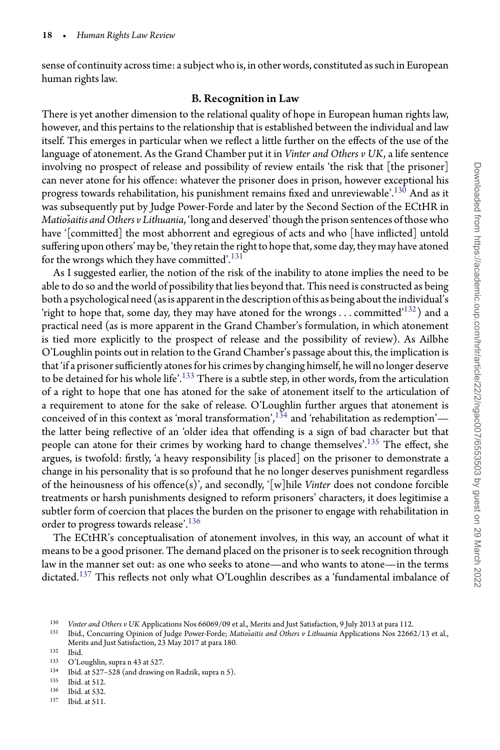sense of continuity across time: a subject who is, in other words, constituted as such in European human rights law.

#### B. Recognition in Law

There is yet another dimension to the relational quality of hope in European human rights law, however, and this pertains to the relationship that is established between the individual and law itself. This emerges in particular when we reflect a little further on the effects of the use of the language of atonement. As the Grand Chamber put it in *Vinter and Others v UK*, a life sentence involving no prospect of release and possibility of review entails 'the risk that [the prisoner] can never atone for his offence: whatever the prisoner does in prison, however exceptional his progress towards rehabilitation, his punishment remains fixed and unreviewable'.<sup>[130](#page-17-0)</sup> And as it was subsequently put by Judge Power-Forde and later by the Second Section of the ECtHR in *Matiošaitis and Others v Lithuania*, 'long and deserved' though the prison sentences of those who have '[committed] the most abhorrent and egregious of acts and who [have inflicted] untold suffering upon others' may be, 'they retain the right to hope that, some day, they may have atoned for the wrongs which they have committed'.<sup>131</sup>

As I suggested earlier, the notion of the risk of the inability to atone implies the need to be able to do so and the world of possibility that lies beyond that. This need is constructed as being both a psychological need (as is apparent inthe description ofthis as being aboutthe individual's 'right to hope that, some day, they may have atoned for the wrongs*...* committed'[132\)](#page-17-2) and a practical need (as is more apparent in the Grand Chamber's formulation, in which atonement is tied more explicitly to the prospect of release and the possibility of review). As Ailbhe O'Loughlin points out in relation to the Grand Chamber's passage about this, the implication is that 'if a prisoner sufficiently atones for his crimes by changing himself, he will no longer deserve to be detained for his whole life'.<sup>[133](#page-17-3)</sup> There is a subtle step, in other words, from the articulation of a right to hope that one has atoned for the sake of atonement itself to the articulation of a requirement to atone for the sake of release. O'Loughlin further argues that atonement is conceived of in this context as 'moral transformation',<sup>134</sup> and 'rehabilitation as redemption' the latter being reflective of an 'older idea that offending is a sign of bad character but that people can atone for their crimes by working hard to change themselves'.<sup>135</sup> The effect, she argues, is twofold: firstly, 'a heavy responsibility [is placed] on the prisoner to demonstrate a change in his personality that is so profound that he no longer deserves punishment regardless of the heinousness of his offence(s)', and secondly, '[w]hile *Vinter* does not condone forcible treatments or harsh punishments designed to reform prisoners' characters, it does legitimise a subtler form of coercion that places the burden on the prisoner to engage with rehabilitation in order to progress towards release'.<sup>[136](#page-17-6)</sup>

The ECtHR's conceptualisation of atonement involves, in this way, an account of what it means to be a good prisoner. The demand placed on the prisoner is to seek recognition through law in the manner set out: as one who seeks to atone—and who wants to atone—in the terms dictated.<sup>[137](#page-17-7)</sup> This reflects not only what O'Loughlin describes as a 'fundamental imbalance of

<sup>130</sup> *Vinter and Others v UK* Applications Nos 66069/09 et al., Merits and Just Satisfaction, 9 July 2013 at para 112.

<span id="page-17-0"></span><sup>131</sup> Ibid., Concurring Opinion of Judge Power-Forde; *Matio*ˇ*saitis and Others v Lithuania* Applications Nos 22662/13 et al., Merits and Just Satisfaction, 23 May 2017 at para 180.

<span id="page-17-1"></span> $132$  Ibid.<br> $133$  O'L

<span id="page-17-2"></span> $133$  O'Loughlin, supra n 43 at 527.

<span id="page-17-3"></span><sup>134</sup> Ibid. at 527–528 (and drawing on Radzik, supra n 5).<br>135 Ibid. at 512

<span id="page-17-4"></span> $135$  Ibid. at 512.<br> $136$  Ibid. at 522.

<span id="page-17-5"></span> $136$  Ibid. at 532.<br> $137$  Ibid. at 511

<span id="page-17-7"></span><span id="page-17-6"></span>Ibid. at 511.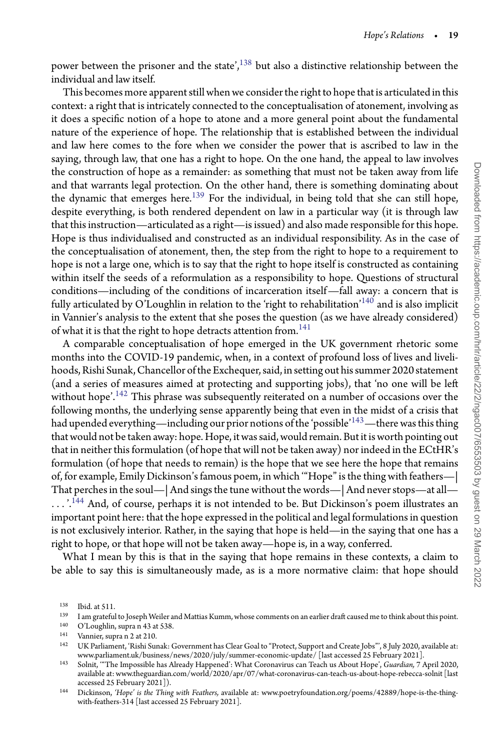power between the prisoner and the state', $138$  but also a distinctive relationship between the individual and law itself.

This becomes more apparent still when we consider the right to hope that is articulated in this context: a right that is intricately connected to the conceptualisation of atonement, involving as it does a specific notion of a hope to atone and a more general point about the fundamental nature of the experience of hope. The relationship that is established between the individual and law here comes to the fore when we consider the power that is ascribed to law in the saying, through law, that one has a right to hope. On the one hand, the appeal to law involves the construction of hope as a remainder: as something that must not be taken away from life and that warrants legal protection. On the other hand, there is something dominating about the dynamic that emerges here. $139$  For the individual, in being told that she can still hope, despite everything, is both rendered dependent on law in a particular way (it is through law that this instruction—articulated as a right—is issued) and also made responsible for this hope. Hope is thus individualised and constructed as an individual responsibility. As in the case of the conceptualisation of atonement, then, the step from the right to hope to a requirement to hope is not a large one, which is to say that the right to hope itself is constructed as containing within itself the seeds of a reformulation as a responsibility to hope. Questions of structural conditions—including of the conditions of incarceration itself—fall away: a concern that is fully articulated by O'Loughlin in relation to the 'right to rehabilitation'<sup>[140](#page-18-2)</sup> and is also implicit in Vannier's analysis to the extent that she poses the question (as we have already considered) of what it is that the right to hope detracts attention from.<sup>[141](#page-18-3)</sup>

A comparable conceptualisation of hope emerged in the UK government rhetoric some months into the COVID-19 pandemic, when, in a context of profound loss of lives and livelihoods, Rishi Sunak,Chancellor ofthe Exchequer, said, in setting out his summer 2020 statement (and a series of measures aimed at protecting and supporting jobs), that 'no one will be left without hope'.<sup>[142](#page-18-4)</sup> This phrase was subsequently reiterated on a number of occasions over the following months, the underlying sense apparently being that even in the midst of a crisis that had upended everything—including our prior notions of the 'possible'<sup>[143](#page-18-5)</sup>—there was this thing that would not be taken away: hope. Hope, it was said, would remain. But it is worth pointing out that in neither this formulation (of hope that will not be taken away) nor indeed in the ECtHR's formulation (of hope that needs to remain) is the hope that we see here the hope that remains of, for example, Emily Dickinson's famous poem, in which '"Hope" is the thing with feathers—| That perches in the soul—| And sings the tune without the words—| And never stops—at all— *...* '[.144](#page-18-6) And, of course, perhaps it is not intended to be. But Dickinson's poem illustrates an important point here: that the hope expressed in the political and legal formulations in question is not exclusively interior. Rather, in the saying that hope is held—in the saying that one has a right to hope, or that hope will not be taken away—hope is, in a way, conferred.

What I mean by this is that in the saying that hope remains in these contexts, a claim to be able to say this is simultaneously made, as is a more normative claim: that hope should

 $138$  Ibid. at 511.<br> $139$  I am grateful

<span id="page-18-0"></span><sup>&</sup>lt;sup>139</sup> I am grateful to Joseph Weiler and Mattias Kumm, whose comments on an earlier draft caused me to think about this point.<br><sup>140</sup> O'Loughlin, supra n.43.at 53.8

<span id="page-18-1"></span><sup>&</sup>lt;sup>140</sup> O'Loughlin, supra n 43 at 538.<br><sup>141</sup> Vannier, supra n 2 at 210

<span id="page-18-2"></span><sup>&</sup>lt;sup>141</sup> Vannier, supra n 2 at 210.<br><sup>142</sup> LIK Parliament 'Pishi Su

<span id="page-18-3"></span><sup>142</sup> UK Parliament, 'Rishi Sunak: Government has Clear Goal to "Protect, Support and Create Jobs"', 8 July 2020, available at: www.parliament.uk/business/news/2020/july/summer-economic-update/ [last accessed 25 February 2021].

<span id="page-18-5"></span><span id="page-18-4"></span><sup>143</sup> Solnit, '"The Impossible has Already Happened': What Coronavirus can Teach us About Hope', *Guardian,* 7 April 2020, available at: www.theguardian.com/world/2020/apr/07/what-coronavirus-can-teach-us-about-hope-rebecca-solnit [last accessed 25 February 2021]).

<span id="page-18-6"></span><sup>144</sup> Dickinson, *'Hope' is the Thing with Feathers,* available at: www.poetryfoundation.org/poems/42889/hope-is-the-thingwith-feathers-314 [last accessed 25 February 2021].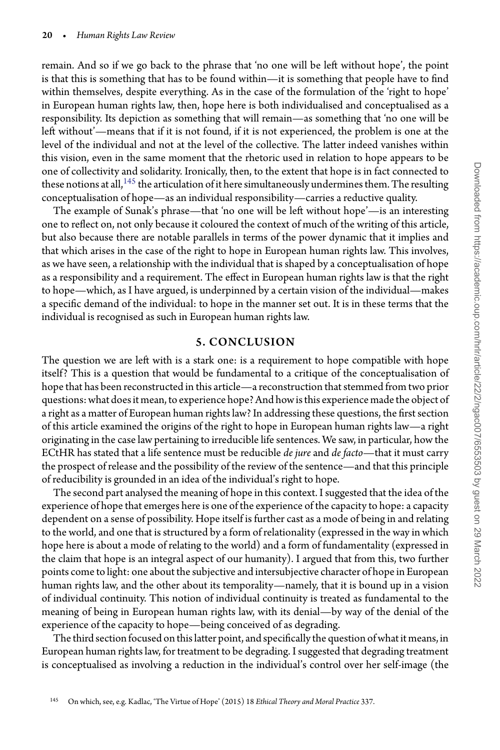remain. And so if we go back to the phrase that 'no one will be left without hope', the point is that this is something that has to be found within—it is something that people have to find within themselves, despite everything. As in the case of the formulation of the 'right to hope' in European human rights law, then, hope here is both individualised and conceptualised as a responsibility. Its depiction as something that will remain—as something that 'no one will be left without'—means that if it is not found, if it is not experienced, the problem is one at the level of the individual and not at the level of the collective. The latter indeed vanishes within this vision, even in the same moment that the rhetoric used in relation to hope appears to be one of collectivity and solidarity. Ironically, then, to the extent that hope is in fact connected to these notions at all,  $145$  the articulation of it here simultaneously undermines them. The resulting conceptualisation of hope—as an individual responsibility—carries a reductive quality.

The example of Sunak's phrase—that 'no one will be left without hope'—is an interesting one to reflect on, not only because it coloured the context of much of the writing of this article, but also because there are notable parallels in terms of the power dynamic that it implies and that which arises in the case of the right to hope in European human rights law. This involves, as we have seen, a relationship with the individual that is shaped by a conceptualisation of hope as a responsibility and a requirement. The effect in European human rights law is that the right to hope—which, as I have argued, is underpinned by a certain vision of the individual—makes a specific demand of the individual: to hope in the manner set out. It is in these terms that the individual is recognised as such in European human rights law.

#### 5. CONCLUSION

The question we are left with is a stark one: is a requirement to hope compatible with hope itself? This is a question that would be fundamental to a critique of the conceptualisation of hope that has been reconstructed in this article—a reconstruction that stemmed from two prior questions: what does it mean, to experience hope? And how is this experience made the object of a right as a matter of European human rights law? In addressing these questions, the first section of this article examined the origins of the right to hope in European human rights law—a right originating in the case law pertaining to irreducible life sentences. We saw, in particular, how the ECtHR has stated that a life sentence must be reducible *de jure* and *de facto*—that it must carry the prospect of release and the possibility of the review of the sentence—and that this principle of reducibility is grounded in an idea of the individual's right to hope.

The second part analysed the meaning of hope in this context. I suggested that the idea of the experience of hope that emerges here is one of the experience of the capacity to hope: a capacity dependent on a sense of possibility. Hope itself is further cast as a mode of being in and relating to the world, and one that is structured by a form of relationality (expressed in the way in which hope here is about a mode of relating to the world) and a form of fundamentality (expressed in the claim that hope is an integral aspect of our humanity). I argued that from this, two further points come to light: one about the subjective and intersubjective character of hope in European human rights law, and the other about its temporality—namely, that it is bound up in a vision of individual continuity. This notion of individual continuity is treated as fundamental to the meaning of being in European human rights law, with its denial—by way of the denial of the experience of the capacity to hope—being conceived of as degrading.

<span id="page-19-0"></span>The third section focused on this latter point, and specifically the question of what it means, in European human rights law, for treatment to be degrading. I suggested that degrading treatment is conceptualised as involving a reduction in the individual's control over her self-image (the